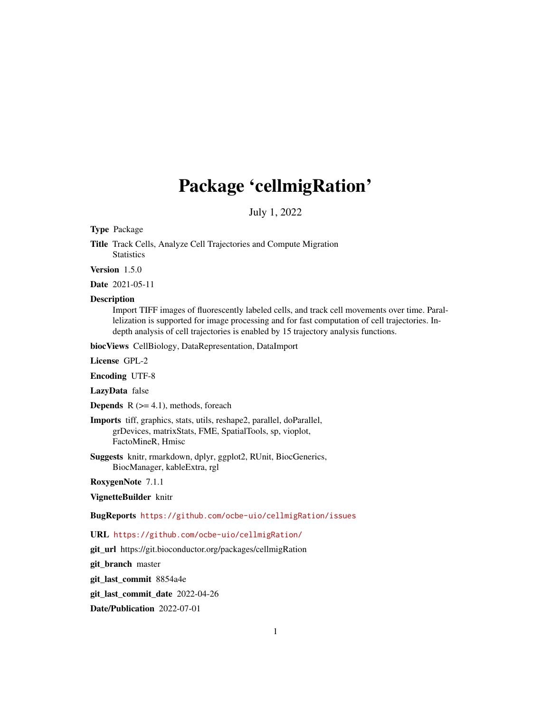# Package 'cellmigRation'

July 1, 2022

Type Package

Title Track Cells, Analyze Cell Trajectories and Compute Migration **Statistics** 

Version 1.5.0

Date 2021-05-11

#### **Description**

Import TIFF images of fluorescently labeled cells, and track cell movements over time. Parallelization is supported for image processing and for fast computation of cell trajectories. Indepth analysis of cell trajectories is enabled by 15 trajectory analysis functions.

biocViews CellBiology, DataRepresentation, DataImport

License GPL-2

Encoding UTF-8

LazyData false

**Depends**  $R$  ( $>= 4.1$ ), methods, foreach

Imports tiff, graphics, stats, utils, reshape2, parallel, doParallel, grDevices, matrixStats, FME, SpatialTools, sp, vioplot, FactoMineR, Hmisc

Suggests knitr, rmarkdown, dplyr, ggplot2, RUnit, BiocGenerics, BiocManager, kableExtra, rgl

RoxygenNote 7.1.1

VignetteBuilder knitr

BugReports <https://github.com/ocbe-uio/cellmigRation/issues>

### URL <https://github.com/ocbe-uio/cellmigRation/>

git\_url https://git.bioconductor.org/packages/cellmigRation

git\_branch master

git\_last\_commit 8854a4e

git\_last\_commit\_date 2022-04-26

Date/Publication 2022-07-01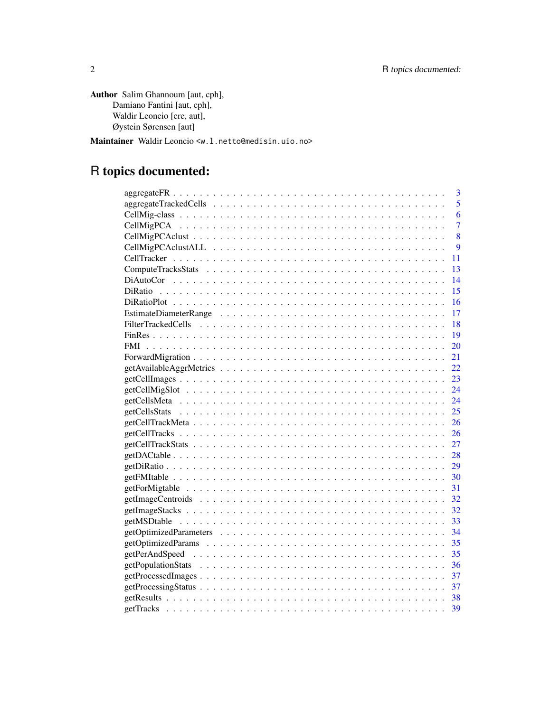Author Salim Ghannoum [aut, cph], Damiano Fantini [aut, cph], Waldir Leoncio [cre, aut], Øystein Sørensen [aut]

Maintainer Waldir Leoncio <w.l.netto@medisin.uio.no>

# R topics documented:

| 3                                                                                                                 |
|-------------------------------------------------------------------------------------------------------------------|
| 5                                                                                                                 |
| 6                                                                                                                 |
| $\overline{7}$                                                                                                    |
| 8                                                                                                                 |
| 9                                                                                                                 |
| 11                                                                                                                |
| 13                                                                                                                |
| 14                                                                                                                |
| 15                                                                                                                |
| 16                                                                                                                |
| 17                                                                                                                |
| 18                                                                                                                |
| 19                                                                                                                |
| <b>FMI</b><br>20                                                                                                  |
| 21                                                                                                                |
| 22                                                                                                                |
| 23<br>$getCell Images \ldots \ldots \ldots \ldots \ldots \ldots \ldots \ldots \ldots \ldots \ldots \ldots \ldots$ |
| 24                                                                                                                |
|                                                                                                                   |
|                                                                                                                   |
|                                                                                                                   |
|                                                                                                                   |
|                                                                                                                   |
| 28                                                                                                                |
| 29                                                                                                                |
| - 30                                                                                                              |
| 31                                                                                                                |
| 32                                                                                                                |
|                                                                                                                   |
|                                                                                                                   |
|                                                                                                                   |
|                                                                                                                   |
|                                                                                                                   |
|                                                                                                                   |
| 37                                                                                                                |
| -37                                                                                                               |
| 38                                                                                                                |
| -39                                                                                                               |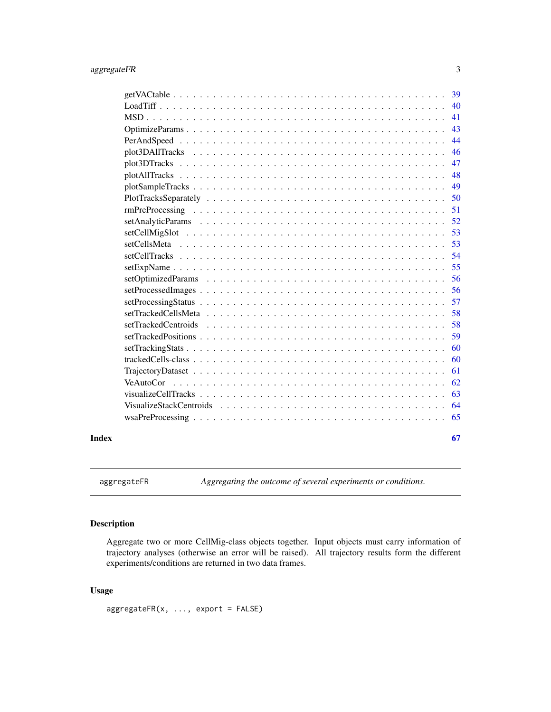<span id="page-2-0"></span>

|       |                                                                                                                                 | 39 |
|-------|---------------------------------------------------------------------------------------------------------------------------------|----|
|       |                                                                                                                                 | 40 |
|       |                                                                                                                                 | 41 |
|       |                                                                                                                                 | 43 |
|       |                                                                                                                                 | 44 |
|       |                                                                                                                                 | 46 |
|       |                                                                                                                                 | 47 |
|       |                                                                                                                                 | 48 |
|       |                                                                                                                                 | 49 |
|       |                                                                                                                                 | 50 |
|       |                                                                                                                                 | 51 |
|       |                                                                                                                                 | 52 |
|       |                                                                                                                                 | 53 |
|       |                                                                                                                                 | 53 |
|       |                                                                                                                                 | 54 |
|       |                                                                                                                                 | 55 |
|       |                                                                                                                                 | 56 |
|       |                                                                                                                                 | 56 |
|       |                                                                                                                                 | 57 |
|       |                                                                                                                                 | 58 |
|       | setTrackedCentroids                                                                                                             | 58 |
|       |                                                                                                                                 | 59 |
|       |                                                                                                                                 | 60 |
|       |                                                                                                                                 | 60 |
|       | $TrajectoryDataset \dots \dots \dots \dots \dots \dots \dots \dots \dots \dots \dots \dots \dots \dots \dots \dots \dots \dots$ | 61 |
|       | VeAutoCor                                                                                                                       | 62 |
|       |                                                                                                                                 | 63 |
|       |                                                                                                                                 | 64 |
|       |                                                                                                                                 | 65 |
| Index |                                                                                                                                 | 67 |

aggregateFR *Aggregating the outcome of several experiments or conditions.*

### Description

Aggregate two or more CellMig-class objects together. Input objects must carry information of trajectory analyses (otherwise an error will be raised). All trajectory results form the different experiments/conditions are returned in two data frames.

### Usage

aggregateFR(x, ..., export = FALSE)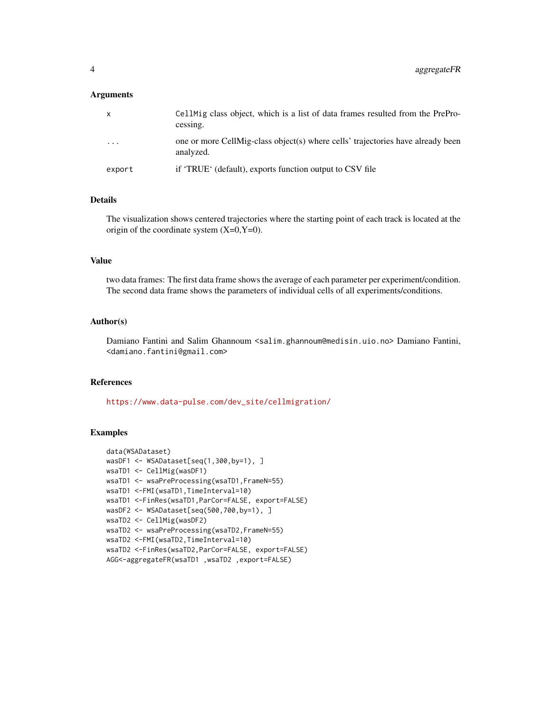#### Arguments

| $\mathbf{x}$ | CellMig class object, which is a list of data frames resulted from the PrePro-<br>cessing.   |
|--------------|----------------------------------------------------------------------------------------------|
| $\cdots$     | one or more CellMig-class object(s) where cells' trajectories have already been<br>analyzed. |
| export       | if 'TRUE' (default), exports function output to CSV file                                     |

### Details

The visualization shows centered trajectories where the starting point of each track is located at the origin of the coordinate system  $(X=0, Y=0)$ .

#### Value

two data frames: The first data frame shows the average of each parameter per experiment/condition. The second data frame shows the parameters of individual cells of all experiments/conditions.

### Author(s)

Damiano Fantini and Salim Ghannoum <salim.ghannoum@medisin.uio.no> Damiano Fantini, <damiano.fantini@gmail.com>

### References

[https://www.data-pulse.com/dev\\_site/cellmigration/](https://www.data-pulse.com/dev_site/cellmigration/)

```
data(WSADataset)
wasDF1 <- WSADataset[seq(1,300,by=1), ]
wsaTD1 <- CellMig(wasDF1)
wsaTD1 <- wsaPreProcessing(wsaTD1,FrameN=55)
wsaTD1 <-FMI(wsaTD1,TimeInterval=10)
wsaTD1 <-FinRes(wsaTD1,ParCor=FALSE, export=FALSE)
wasDF2 <- WSADataset[seq(500,700,by=1), ]
wsaTD2 <- CellMig(wasDF2)
wsaTD2 <- wsaPreProcessing(wsaTD2,FrameN=55)
wsaTD2 <-FMI(wsaTD2,TimeInterval=10)
wsaTD2 <-FinRes(wsaTD2,ParCor=FALSE, export=FALSE)
AGG<-aggregateFR(wsaTD1 ,wsaTD2 ,export=FALSE)
```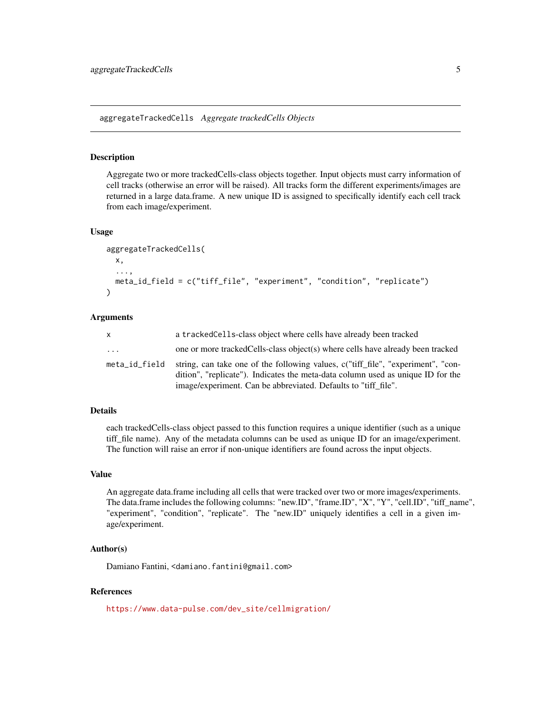<span id="page-4-0"></span>aggregateTrackedCells *Aggregate trackedCells Objects*

### Description

Aggregate two or more trackedCells-class objects together. Input objects must carry information of cell tracks (otherwise an error will be raised). All tracks form the different experiments/images are returned in a large data.frame. A new unique ID is assigned to specifically identify each cell track from each image/experiment.

#### Usage

```
aggregateTrackedCells(
  x,
  ...,
 meta_id_field = c("tiff_file", "experiment", "condition", "replicate")
)
```
#### Arguments

| X                       | a tracked Cells-class object where cells have already been tracked                                                                                                                                                                    |
|-------------------------|---------------------------------------------------------------------------------------------------------------------------------------------------------------------------------------------------------------------------------------|
| $\cdot$ $\cdot$ $\cdot$ | one or more tracked Cells-class object(s) where cells have already been tracked                                                                                                                                                       |
| meta_id_field           | string, can take one of the following values, c("tiff file", "experiment", "con-<br>dition", "replicate"). Indicates the meta-data column used as unique ID for the<br>image/experiment. Can be abbreviated. Defaults to "tiff_file". |

#### Details

each trackedCells-class object passed to this function requires a unique identifier (such as a unique tiff\_file name). Any of the metadata columns can be used as unique ID for an image/experiment. The function will raise an error if non-unique identifiers are found across the input objects.

#### Value

An aggregate data.frame including all cells that were tracked over two or more images/experiments. The data.frame includes the following columns: "new.ID", "frame.ID", "X", "Y", "cell.ID", "tiff\_name", "experiment", "condition", "replicate". The "new.ID" uniquely identifies a cell in a given image/experiment.

#### Author(s)

Damiano Fantini, <damiano.fantini@gmail.com>

### **References**

[https://www.data-pulse.com/dev\\_site/cellmigration/](https://www.data-pulse.com/dev_site/cellmigration/)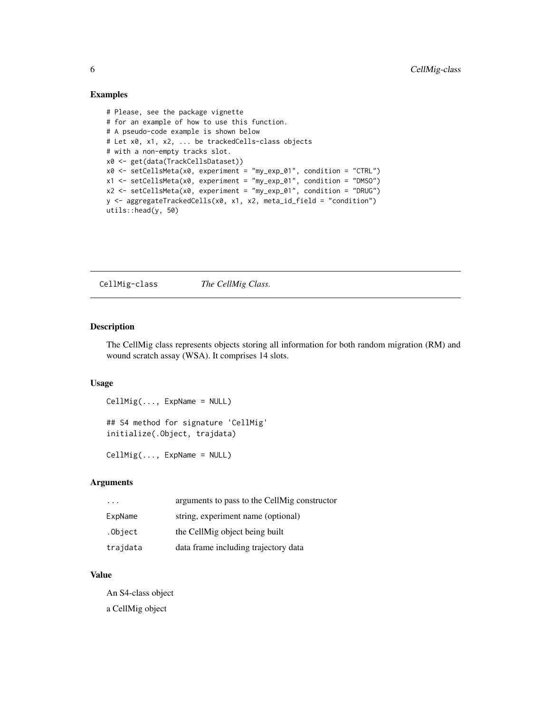#### Examples

```
# Please, see the package vignette
# for an example of how to use this function.
# A pseudo-code example is shown below
# Let x0, x1, x2, ... be trackedCells-class objects
# with a non-empty tracks slot.
x0 <- get(data(TrackCellsDataset))
x0 <- setCellsMeta(x0, experiment = "my_exp_01", condition = "CTRL")
x1 <- setCellsMeta(x0, experiment = "my_exp_01", condition = "DMSO")
x2 <- setCellsMeta(x0, experiment = "my_exp_01", condition = "DRUG")
y <- aggregateTrackedCells(x0, x1, x2, meta_id_field = "condition")
utils::head(y, 50)
```
CellMig-class *The CellMig Class.*

### Description

The CellMig class represents objects storing all information for both random migration (RM) and wound scratch assay (WSA). It comprises 14 slots.

### Usage

```
CellMig(..., ExpName = NULL)
## S4 method for signature 'CellMig'
initialize(.Object, trajdata)
```
CellMig(..., ExpName = NULL)

### Arguments

| .        | arguments to pass to the CellMig constructor |
|----------|----------------------------------------------|
| ExpName  | string, experiment name (optional)           |
| .Object  | the CellMig object being built               |
| trajdata | data frame including trajectory data         |

### Value

An S4-class object a CellMig object

<span id="page-5-0"></span>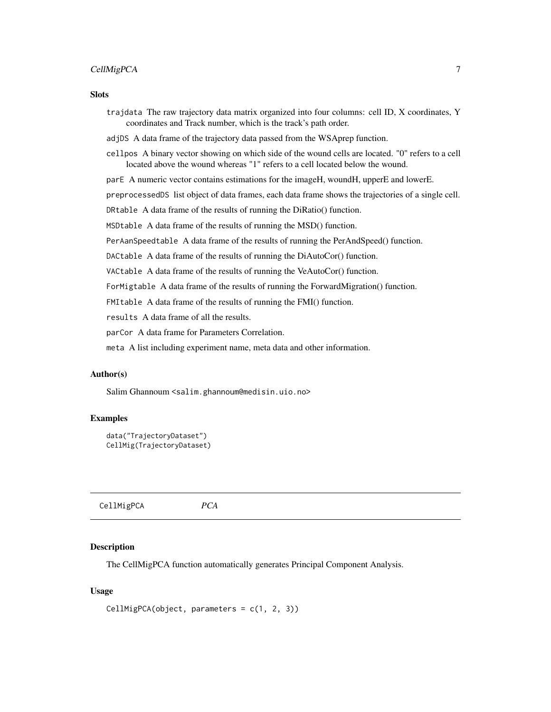### <span id="page-6-0"></span>CellMigPCA 7

#### **Slots**

trajdata The raw trajectory data matrix organized into four columns: cell ID, X coordinates, Y coordinates and Track number, which is the track's path order.

adjDS A data frame of the trajectory data passed from the WSAprep function.

cellpos A binary vector showing on which side of the wound cells are located. "0" refers to a cell located above the wound whereas "1" refers to a cell located below the wound.

parE A numeric vector contains estimations for the imageH, woundH, upperE and lowerE.

preprocessedDS list object of data frames, each data frame shows the trajectories of a single cell.

DRtable A data frame of the results of running the DiRatio() function.

MSDtable A data frame of the results of running the MSD() function.

PerAanSpeedtable A data frame of the results of running the PerAndSpeed() function.

DACtable A data frame of the results of running the DiAutoCor() function.

VACtable A data frame of the results of running the VeAutoCor() function.

ForMigtable A data frame of the results of running the ForwardMigration() function.

FMItable A data frame of the results of running the FMI() function.

results A data frame of all the results.

parCor A data frame for Parameters Correlation.

meta A list including experiment name, meta data and other information.

#### Author(s)

Salim Ghannoum <salim.ghannoum@medisin.uio.no>

#### Examples

```
data("TrajectoryDataset")
CellMig(TrajectoryDataset)
```
CellMigPCA *PCA*

#### **Description**

The CellMigPCA function automatically generates Principal Component Analysis.

```
CellMigPCA(object, parameters = c(1, 2, 3))
```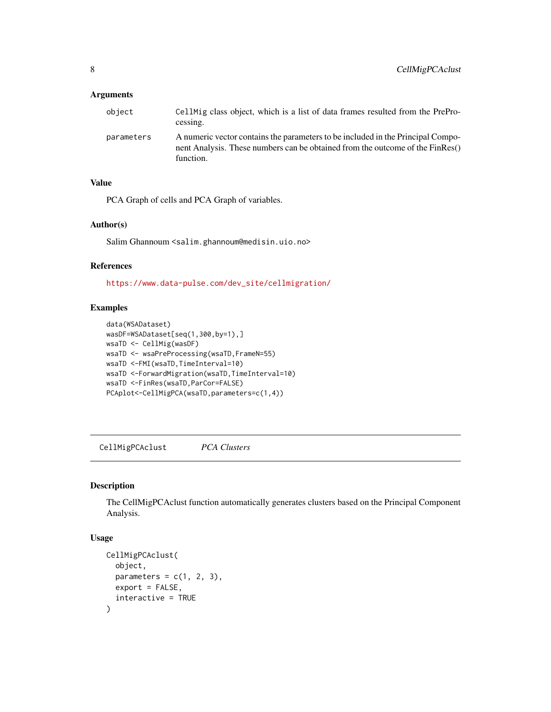### <span id="page-7-0"></span>Arguments

| object     | CellMig class object, which is a list of data frames resulted from the PrePro-<br>cessing.                                                                                    |
|------------|-------------------------------------------------------------------------------------------------------------------------------------------------------------------------------|
| parameters | A numeric vector contains the parameters to be included in the Principal Compo-<br>nent Analysis. These numbers can be obtained from the outcome of the FinRes()<br>function. |

### Value

PCA Graph of cells and PCA Graph of variables.

#### Author(s)

Salim Ghannoum <salim.ghannoum@medisin.uio.no>

### References

[https://www.data-pulse.com/dev\\_site/cellmigration/](https://www.data-pulse.com/dev_site/cellmigration/)

### Examples

```
data(WSADataset)
wasDF=WSADataset[seq(1,300,by=1),]
wsaTD <- CellMig(wasDF)
wsaTD <- wsaPreProcessing(wsaTD,FrameN=55)
wsaTD <-FMI(wsaTD,TimeInterval=10)
wsaTD <-ForwardMigration(wsaTD,TimeInterval=10)
wsaTD <-FinRes(wsaTD,ParCor=FALSE)
PCAplot<-CellMigPCA(wsaTD,parameters=c(1,4))
```
CellMigPCAclust *PCA Clusters*

### Description

The CellMigPCAclust function automatically generates clusters based on the Principal Component Analysis.

```
CellMigPCAclust(
  object,
  parameters = c(1, 2, 3),
  export = FALSE,interactive = TRUE
\mathcal{E}
```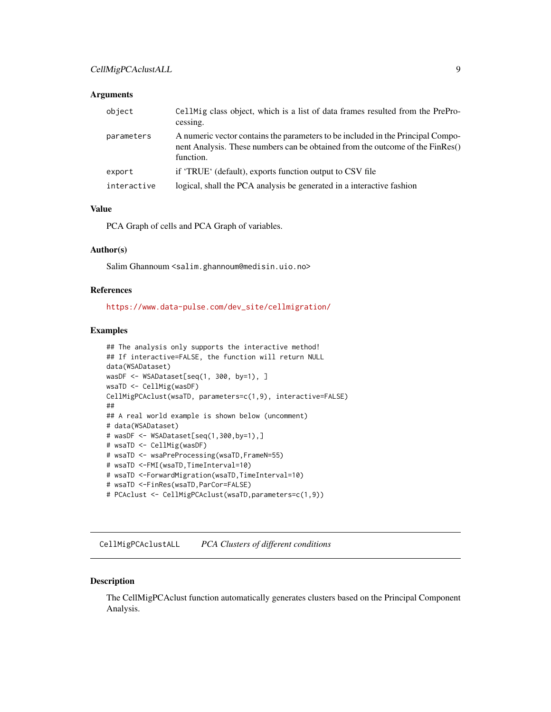#### <span id="page-8-0"></span>**Arguments**

| object      | CellMig class object, which is a list of data frames resulted from the PrePro-<br>cessing.                                                                                    |
|-------------|-------------------------------------------------------------------------------------------------------------------------------------------------------------------------------|
| parameters  | A numeric vector contains the parameters to be included in the Principal Compo-<br>nent Analysis. These numbers can be obtained from the outcome of the FinRes()<br>function. |
| export      | if 'TRUE' (default), exports function output to CSV file                                                                                                                      |
| interactive | logical, shall the PCA analysis be generated in a interactive fashion                                                                                                         |

### Value

PCA Graph of cells and PCA Graph of variables.

#### Author(s)

Salim Ghannoum <salim.ghannoum@medisin.uio.no>

### References

[https://www.data-pulse.com/dev\\_site/cellmigration/](https://www.data-pulse.com/dev_site/cellmigration/)

#### Examples

```
## The analysis only supports the interactive method!
## If interactive=FALSE, the function will return NULL
data(WSADataset)
wasDF <- WSADataset[seq(1, 300, by=1), ]
wsaTD <- CellMig(wasDF)
CellMigPCAclust(wsaTD, parameters=c(1,9), interactive=FALSE)
##
## A real world example is shown below (uncomment)
# data(WSADataset)
# wasDF <- WSADataset[seq(1,300,by=1),]
# wsaTD <- CellMig(wasDF)
# wsaTD <- wsaPreProcessing(wsaTD,FrameN=55)
# wsaTD <-FMI(wsaTD,TimeInterval=10)
# wsaTD <-ForwardMigration(wsaTD,TimeInterval=10)
# wsaTD <-FinRes(wsaTD,ParCor=FALSE)
# PCAclust <- CellMigPCAclust(wsaTD,parameters=c(1,9))
```
CellMigPCAclustALL *PCA Clusters of different conditions*

#### Description

The CellMigPCAclust function automatically generates clusters based on the Principal Component Analysis.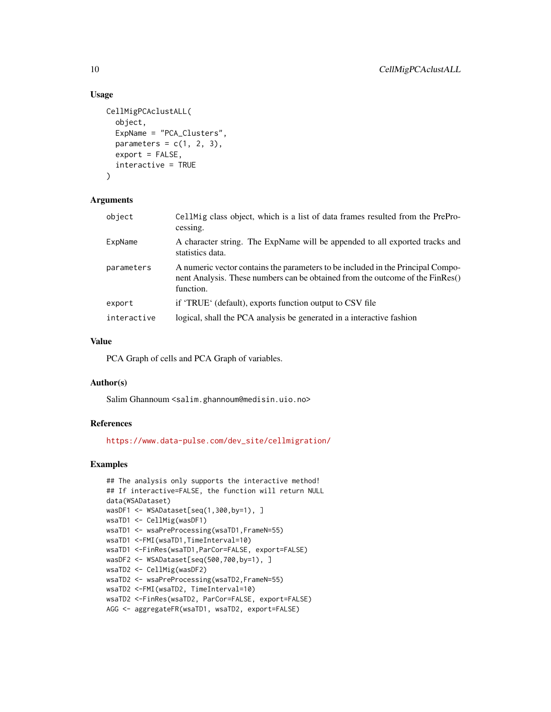### Usage

```
CellMigPCAclustALL(
  object,
  ExpName = "PCA_Clusters",
  parameters = c(1, 2, 3),
  export = FALSE,interactive = TRUE
\lambda
```
### Arguments

| object      | CellMig class object, which is a list of data frames resulted from the PrePro-<br>cessing.                                                                                    |
|-------------|-------------------------------------------------------------------------------------------------------------------------------------------------------------------------------|
| ExpName     | A character string. The ExpName will be appended to all exported tracks and<br>statistics data.                                                                               |
| parameters  | A numeric vector contains the parameters to be included in the Principal Compo-<br>nent Analysis. These numbers can be obtained from the outcome of the FinRes()<br>function. |
| export      | if 'TRUE' (default), exports function output to CSV file                                                                                                                      |
| interactive | logical, shall the PCA analysis be generated in a interactive fashion                                                                                                         |

### Value

PCA Graph of cells and PCA Graph of variables.

### Author(s)

Salim Ghannoum <salim.ghannoum@medisin.uio.no>

### References

[https://www.data-pulse.com/dev\\_site/cellmigration/](https://www.data-pulse.com/dev_site/cellmigration/)

```
## The analysis only supports the interactive method!
## If interactive=FALSE, the function will return NULL
data(WSADataset)
wasDF1 <- WSADataset[seq(1,300,by=1), ]
wsaTD1 <- CellMig(wasDF1)
wsaTD1 <- wsaPreProcessing(wsaTD1, FrameN=55)
wsaTD1 <-FMI(wsaTD1,TimeInterval=10)
wsaTD1 <-FinRes(wsaTD1,ParCor=FALSE, export=FALSE)
wasDF2 <- WSADataset[seq(500,700,by=1), ]
wsaTD2 <- CellMig(wasDF2)
wsaTD2 <- wsaPreProcessing(wsaTD2,FrameN=55)
wsaTD2 <-FMI(wsaTD2, TimeInterval=10)
wsaTD2 <-FinRes(wsaTD2, ParCor=FALSE, export=FALSE)
AGG <- aggregateFR(wsaTD1, wsaTD2, export=FALSE)
```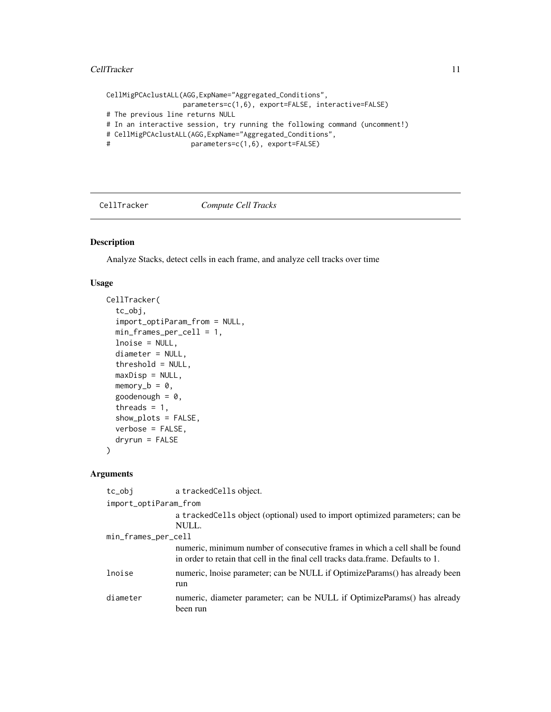#### <span id="page-10-0"></span>CellTracker 11

```
CellMigPCAclustALL(AGG,ExpName="Aggregated_Conditions",
                 parameters=c(1,6), export=FALSE, interactive=FALSE)
# The previous line returns NULL
# In an interactive session, try running the following command (uncomment!)
# CellMigPCAclustALL(AGG,ExpName="Aggregated_Conditions",
# parameters=c(1,6), export=FALSE)
```
#### CellTracker *Compute Cell Tracks*

### Description

Analyze Stacks, detect cells in each frame, and analyze cell tracks over time

#### Usage

```
CellTracker(
  tc_obj,
  import_optiParam_from = NULL,
  min_frames_per_cell = 1,
  lnoise = NULL,
  diameter = NULL,
  threshold = NULL,
  maxDisp = NULL,
  memory_b = 0,
  goodenough = 0,
  threads = 1,
  show_plots = FALSE,
  verbose = FALSE,
  dryrun = FALSE\lambda
```
#### **Arguments**

tc\_obj a trackedCells object.

```
import_optiParam_from
                 a trackedCells object (optional) used to import optimized parameters; can be
                 NULL.
min_frames_per_cell
                 numeric, minimum number of consecutive frames in which a cell shall be found
                 in order to retain that cell in the final cell tracks data.frame. Defaults to 1.
lnoise numeric, lnoise parameter; can be NULL if OptimizeParams() has already been
                 run
diameter numeric, diameter parameter; can be NULL if OptimizeParams() has already
                 been run
```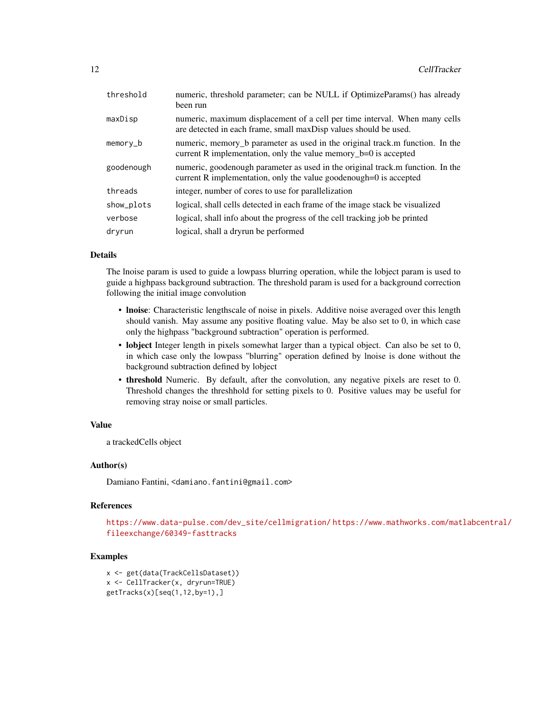| threshold  | numeric, threshold parameter; can be NULL if OptimizeParams() has already<br>been run                                                               |
|------------|-----------------------------------------------------------------------------------------------------------------------------------------------------|
| maxDisp    | numeric, maximum displacement of a cell per time interval. When many cells<br>are detected in each frame, small maxDisp values should be used.      |
| $memory_b$ | numeric, memory b parameter as used in the original track.m function. In the<br>current R implementation, only the value memory_b=0 is accepted     |
| goodenough | numeric, goodenough parameter as used in the original track.m function. In the<br>current R implementation, only the value goodenough=0 is accepted |
| threads    | integer, number of cores to use for parallelization                                                                                                 |
| show_plots | logical, shall cells detected in each frame of the image stack be visualized                                                                        |
| verbose    | logical, shall info about the progress of the cell tracking job be printed                                                                          |
| dryrun     | logical, shall a dryrun be performed                                                                                                                |

### **Details**

The lnoise param is used to guide a lowpass blurring operation, while the lobject param is used to guide a highpass background subtraction. The threshold param is used for a background correction following the initial image convolution

- lnoise: Characteristic lengthscale of noise in pixels. Additive noise averaged over this length should vanish. May assume any positive floating value. May be also set to 0, in which case only the highpass "background subtraction" operation is performed.
- lobject Integer length in pixels somewhat larger than a typical object. Can also be set to 0, in which case only the lowpass "blurring" operation defined by lnoise is done without the background subtraction defined by lobject
- threshold Numeric. By default, after the convolution, any negative pixels are reset to 0. Threshold changes the threshhold for setting pixels to 0. Positive values may be useful for removing stray noise or small particles.

### Value

a trackedCells object

#### Author(s)

Damiano Fantini, <damiano.fantini@gmail.com>

#### References

```
https://www.data-pulse.com/dev_site/cellmigration/ https://www.mathworks.com/matlabcentral/
fileexchange/60349-fasttracks
```

```
x <- get(data(TrackCellsDataset))
x <- CellTracker(x, dryrun=TRUE)
getTracks(x)[seq(1,12,by=1),]
```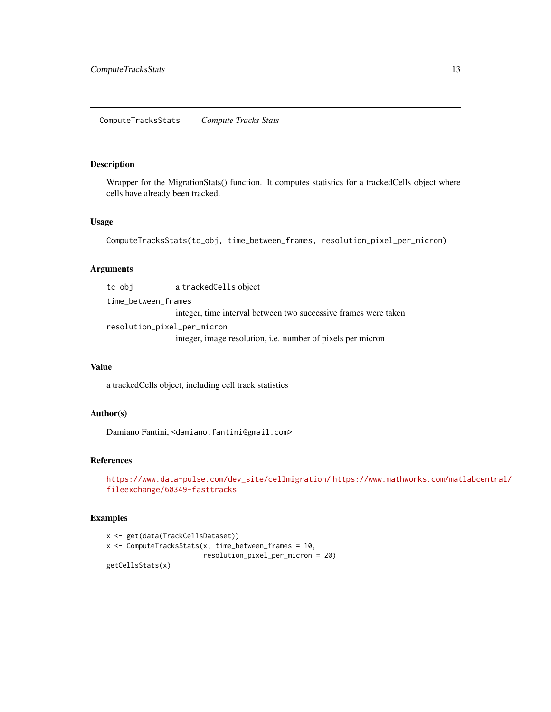<span id="page-12-0"></span>Wrapper for the MigrationStats() function. It computes statistics for a trackedCells object where cells have already been tracked.

### Usage

```
ComputeTracksStats(tc_obj, time_between_frames, resolution_pixel_per_micron)
```
#### Arguments

tc\_obj a trackedCells object time\_between\_frames integer, time interval between two successive frames were taken resolution\_pixel\_per\_micron integer, image resolution, i.e. number of pixels per micron

## Value

a trackedCells object, including cell track statistics

### Author(s)

Damiano Fantini, <damiano.fantini@gmail.com>

### References

[https://www.data-pulse.com/dev\\_site/cellmigration/](https://www.data-pulse.com/dev_site/cellmigration/) [https://www.mathworks.com/mat](https://www.mathworks.com/matlabcentral/fileexchange/60349-fasttracks)labcentral/ [fileexchange/60349-fasttracks](https://www.mathworks.com/matlabcentral/fileexchange/60349-fasttracks)

```
x <- get(data(TrackCellsDataset))
x <- ComputeTracksStats(x, time_between_frames = 10,
                       resolution_pixel_per_micron = 20)
getCellsStats(x)
```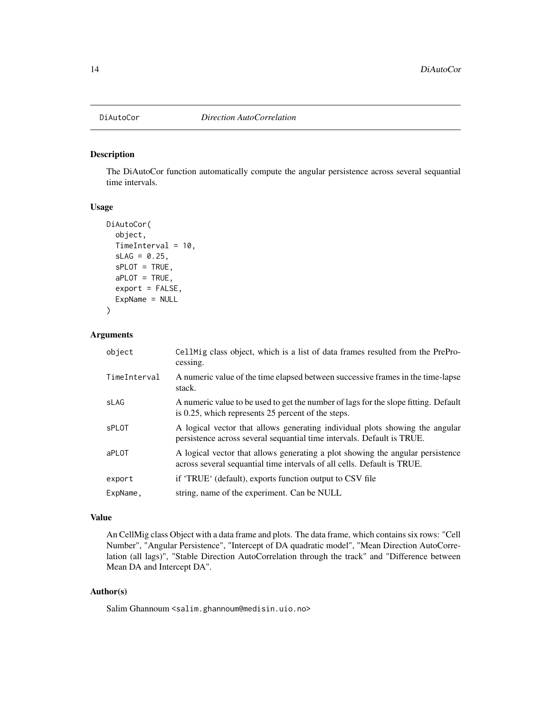<span id="page-13-0"></span>

The DiAutoCor function automatically compute the angular persistence across several sequantial time intervals.

### Usage

```
DiAutoCor(
  object,
  TimeInterval = 10,
  SLAG = 0.25,
  sPLOT = TRUE,
  aPLOT = TRUE,
  export = FALSE,
  ExpName = NULL
)
```
#### Arguments

| object       | Cell Mig class object, which is a list of data frames resulted from the PrePro-<br>cessing.                                                               |
|--------------|-----------------------------------------------------------------------------------------------------------------------------------------------------------|
| TimeInterval | A numeric value of the time elapsed between successive frames in the time-lapse<br>stack.                                                                 |
| sLAG         | A numeric value to be used to get the number of lags for the slope fitting. Default<br>is 0.25, which represents 25 percent of the steps.                 |
| <b>sPLOT</b> | A logical vector that allows generating individual plots showing the angular<br>persistence across several sequantial time intervals. Default is TRUE.    |
| aPLOT        | A logical vector that allows generating a plot showing the angular persistence<br>across several sequantial time intervals of all cells. Default is TRUE. |
| export       | if 'TRUE' (default), exports function output to CSV file                                                                                                  |
| ExpName,     | string, name of the experiment. Can be NULL                                                                                                               |
|              |                                                                                                                                                           |

#### Value

An CellMig class Object with a data frame and plots. The data frame, which contains six rows: "Cell Number", "Angular Persistence", "Intercept of DA quadratic model", "Mean Direction AutoCorrelation (all lags)", "Stable Direction AutoCorrelation through the track" and "Difference between Mean DA and Intercept DA".

### Author(s)

Salim Ghannoum <salim.ghannoum@medisin.uio.no>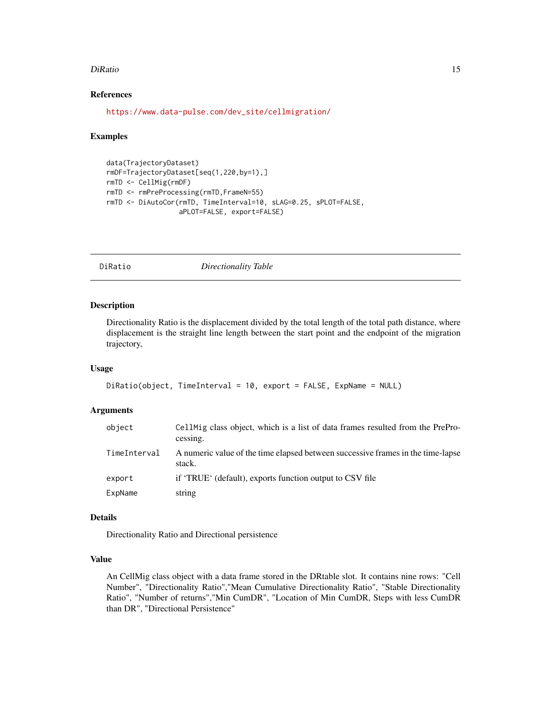#### <span id="page-14-0"></span>DiRatio 15

### References

[https://www.data-pulse.com/dev\\_site/cellmigration/](https://www.data-pulse.com/dev_site/cellmigration/)

#### Examples

```
data(TrajectoryDataset)
rmDF=TrajectoryDataset[seq(1,220,by=1),]
rmTD <- CellMig(rmDF)
rmTD <- rmPreProcessing(rmTD,FrameN=55)
rmTD <- DiAutoCor(rmTD, TimeInterval=10, sLAG=0.25, sPLOT=FALSE,
                  aPLOT=FALSE, export=FALSE)
```

```
DiRatio Directionality Table
```
#### Description

Directionality Ratio is the displacement divided by the total length of the total path distance, where displacement is the straight line length between the start point and the endpoint of the migration trajectory,

#### Usage

```
DiRatio(object, TimeInterval = 10, export = FALSE, ExpName = NULL)
```
#### Arguments

| object       | CellMig class object, which is a list of data frames resulted from the PrePro-<br>cessing. |
|--------------|--------------------------------------------------------------------------------------------|
| TimeInterval | A numeric value of the time elapsed between successive frames in the time-lapse<br>stack.  |
| export       | if 'TRUE' (default), exports function output to CSV file                                   |
| ExpName      | string                                                                                     |

#### Details

Directionality Ratio and Directional persistence

### Value

An CellMig class object with a data frame stored in the DRtable slot. It contains nine rows: "Cell Number", "Directionality Ratio","Mean Cumulative Directionality Ratio", "Stable Directionality Ratio", "Number of returns","Min CumDR", "Location of Min CumDR, Steps with less CumDR than DR", "Directional Persistence"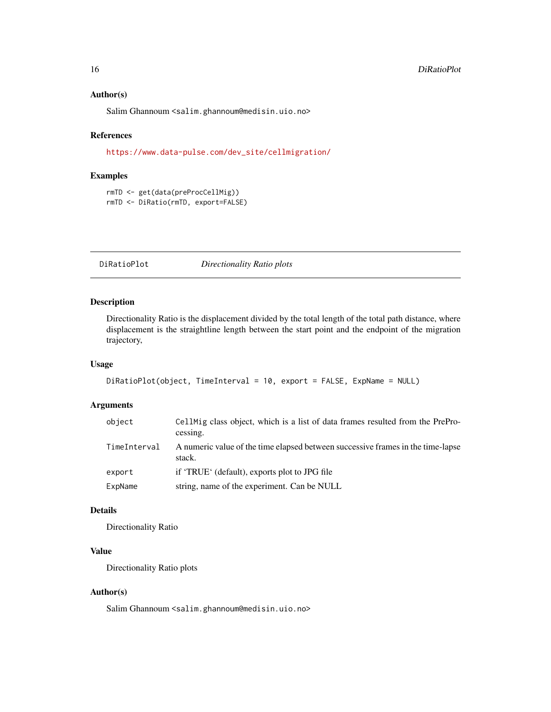#### <span id="page-15-0"></span>Author(s)

Salim Ghannoum <salim.ghannoum@medisin.uio.no>

#### References

[https://www.data-pulse.com/dev\\_site/cellmigration/](https://www.data-pulse.com/dev_site/cellmigration/)

#### Examples

```
rmTD <- get(data(preProcCellMig))
rmTD <- DiRatio(rmTD, export=FALSE)
```
DiRatioPlot *Directionality Ratio plots*

### Description

Directionality Ratio is the displacement divided by the total length of the total path distance, where displacement is the straightline length between the start point and the endpoint of the migration trajectory,

#### Usage

```
DiRatioPlot(object, TimeInterval = 10, export = FALSE, ExpName = NULL)
```
### Arguments

| object       | CellMig class object, which is a list of data frames resulted from the PrePro-<br>cessing. |
|--------------|--------------------------------------------------------------------------------------------|
| TimeInterval | A numeric value of the time elapsed between successive frames in the time-lapse<br>stack.  |
| export       | if 'TRUE' (default), exports plot to JPG file                                              |
| ExpName      | string, name of the experiment. Can be NULL                                                |

### Details

Directionality Ratio

### Value

Directionality Ratio plots

#### Author(s)

Salim Ghannoum <salim.ghannoum@medisin.uio.no>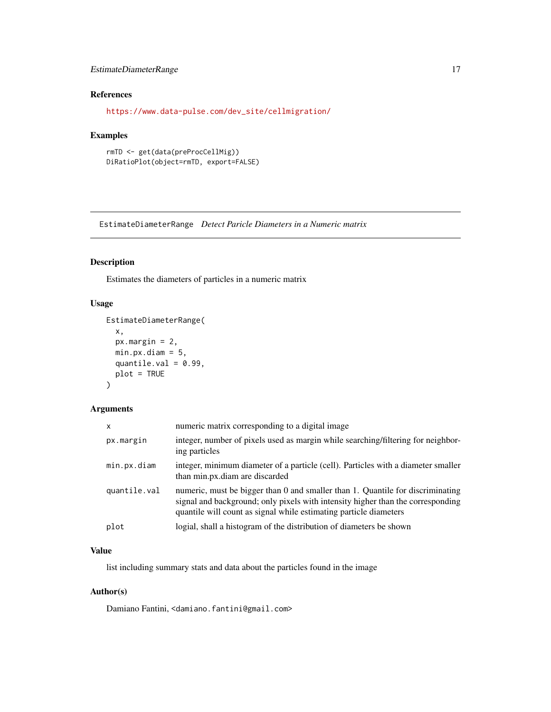### <span id="page-16-0"></span>EstimateDiameterRange 17

### References

[https://www.data-pulse.com/dev\\_site/cellmigration/](https://www.data-pulse.com/dev_site/cellmigration/)

#### Examples

```
rmTD <- get(data(preProcCellMig))
DiRatioPlot(object=rmTD, export=FALSE)
```
EstimateDiameterRange *Detect Paricle Diameters in a Numeric matrix*

### Description

Estimates the diameters of particles in a numeric matrix

### Usage

```
EstimateDiameterRange(
  x,
  px.margin = 2,
  min.py.diam = 5,quantile.val = 0.99,
  plot = TRUE
\mathcal{E}
```
### Arguments

| $\mathsf{x}$ | numeric matrix corresponding to a digital image.                                                                                                                                                                                       |
|--------------|----------------------------------------------------------------------------------------------------------------------------------------------------------------------------------------------------------------------------------------|
| px.margin    | integer, number of pixels used as margin while searching/filtering for neighbor-<br>ing particles                                                                                                                                      |
| min.px.diam  | integer, minimum diameter of a particle (cell). Particles with a diameter smaller<br>than min.px.diam are discarded                                                                                                                    |
| quantile.val | numeric, must be bigger than 0 and smaller than 1. Quantile for discriminating<br>signal and background; only pixels with intensity higher than the corresponding<br>quantile will count as signal while estimating particle diameters |
| plot         | logial, shall a histogram of the distribution of diameters be shown                                                                                                                                                                    |

### Value

list including summary stats and data about the particles found in the image

### Author(s)

Damiano Fantini, <damiano.fantini@gmail.com>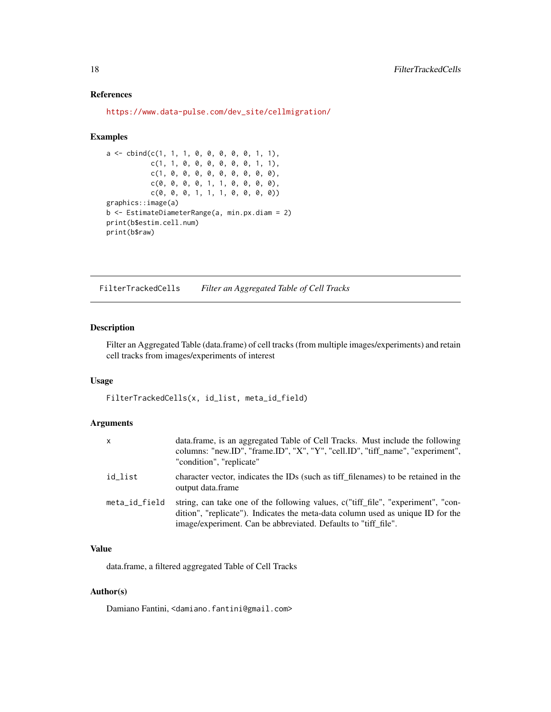### <span id="page-17-0"></span>References

[https://www.data-pulse.com/dev\\_site/cellmigration/](https://www.data-pulse.com/dev_site/cellmigration/)

#### Examples

```
a \leq cbind(c(1, 1, 1, 0, 0, 0, 0, 0, 1, 1),
           c(1, 1, 0, 0, 0, 0, 0, 0, 1, 1),
           c(1, 0, 0, 0, 0, 0, 0, 0, 0, 0),
           c(0, 0, 0, 0, 1, 1, 0, 0, 0, 0),
           c(0, 0, 0, 1, 1, 1, 0, 0, 0, 0))
graphics::image(a)
b <- EstimateDiameterRange(a, min.px.diam = 2)
print(b$estim.cell.num)
print(b$raw)
```
FilterTrackedCells *Filter an Aggregated Table of Cell Tracks*

### Description

Filter an Aggregated Table (data.frame) of cell tracks (from multiple images/experiments) and retain cell tracks from images/experiments of interest

### Usage

FilterTrackedCells(x, id\_list, meta\_id\_field)

### Arguments

| X.            | data.frame, is an aggregated Table of Cell Tracks. Must include the following<br>columns: "new.ID", "frame.ID", "X", "Y", "cell.ID", "tiff_name", "experiment",<br>"condition", "replicate"                                           |
|---------------|---------------------------------------------------------------------------------------------------------------------------------------------------------------------------------------------------------------------------------------|
| id list       | character vector, indicates the IDs (such as tiff filenames) to be retained in the<br>output data.frame                                                                                                                               |
| meta_id_field | string, can take one of the following values, c("tiff_file", "experiment", "con-<br>dition", "replicate"). Indicates the meta-data column used as unique ID for the<br>image/experiment. Can be abbreviated. Defaults to "tiff_file". |

### Value

data.frame, a filtered aggregated Table of Cell Tracks

### Author(s)

Damiano Fantini, <damiano.fantini@gmail.com>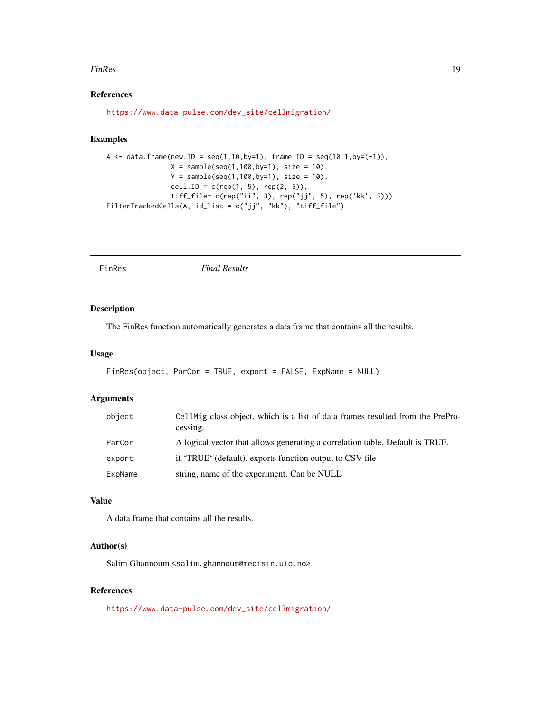#### <span id="page-18-0"></span>FinRes 2012 19

### References

[https://www.data-pulse.com/dev\\_site/cellmigration/](https://www.data-pulse.com/dev_site/cellmigration/)

### Examples

```
A \le data.frame(new.ID = seq(1,10,by=1), frame.ID = seq(10,1,by=(-1)),
               X = sample(seq(1,100,by=1), size = 10),Y = sample(seq(1,100,by=1), size = 10),cell.ID = c(rep(1, 5), rep(2, 5)),tiff_file= c(rep("ii", 3), rep("jj", 5), rep('kk', 2)))
FilterTrackedCells(A, id_list = c("jj", "kk"), "tiff_file")
```
FinRes *Final Results*

### Description

The FinRes function automatically generates a data frame that contains all the results.

#### Usage

```
FinRes(object, ParCor = TRUE, export = FALSE, ExpName = NULL)
```
#### Arguments

| object  | CellMig class object, which is a list of data frames resulted from the PrePro-<br>cessing. |
|---------|--------------------------------------------------------------------------------------------|
| ParCor  | A logical vector that allows generating a correlation table. Default is TRUE.              |
| export  | if 'TRUE' (default), exports function output to CSV file                                   |
| ExpName | string, name of the experiment. Can be NULL                                                |

### Value

A data frame that contains all the results.

### Author(s)

Salim Ghannoum <salim.ghannoum@medisin.uio.no>

#### References

[https://www.data-pulse.com/dev\\_site/cellmigration/](https://www.data-pulse.com/dev_site/cellmigration/)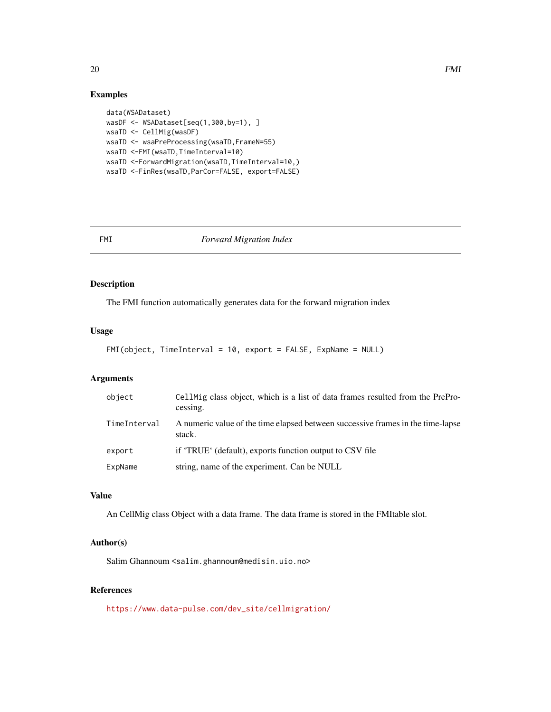### Examples

```
data(WSADataset)
wasDF <- WSADataset[seq(1,300,by=1), ]
wsaTD <- CellMig(wasDF)
wsaTD <- wsaPreProcessing(wsaTD,FrameN=55)
wsaTD <-FMI(wsaTD,TimeInterval=10)
wsaTD <-ForwardMigration(wsaTD,TimeInterval=10,)
wsaTD <-FinRes(wsaTD,ParCor=FALSE, export=FALSE)
```
#### FMI *Forward Migration Index*

### Description

The FMI function automatically generates data for the forward migration index

### Usage

```
FMI(object, TimeInterval = 10, export = FALSE, ExpName = NULL)
```
### Arguments

| object       | CellMig class object, which is a list of data frames resulted from the PrePro-<br>cessing. |
|--------------|--------------------------------------------------------------------------------------------|
| TimeInterval | A numeric value of the time elapsed between successive frames in the time-lapse<br>stack.  |
| export       | if 'TRUE' (default), exports function output to CSV file                                   |
| ExpName      | string, name of the experiment. Can be NULL                                                |

### Value

An CellMig class Object with a data frame. The data frame is stored in the FMItable slot.

#### Author(s)

Salim Ghannoum <salim.ghannoum@medisin.uio.no>

### References

[https://www.data-pulse.com/dev\\_site/cellmigration/](https://www.data-pulse.com/dev_site/cellmigration/)

<span id="page-19-0"></span>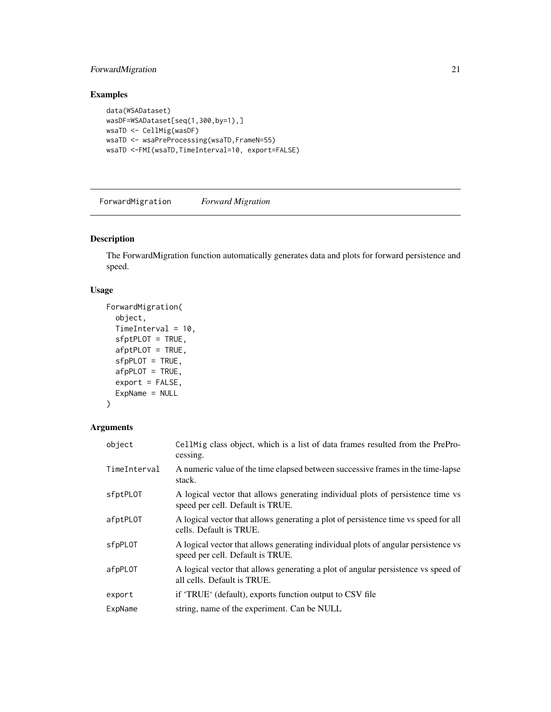### <span id="page-20-0"></span>ForwardMigration 21

### Examples

```
data(WSADataset)
wasDF=WSADataset[seq(1,300,by=1),]
wsaTD <- CellMig(wasDF)
wsaTD <- wsaPreProcessing(wsaTD,FrameN=55)
wsaTD <-FMI(wsaTD,TimeInterval=10, export=FALSE)
```
ForwardMigration *Forward Migration*

### Description

The ForwardMigration function automatically generates data and plots for forward persistence and speed.

### Usage

```
ForwardMigration(
  object,
 TimeInterval = 10,
  sfptPLOT = TRUE,
  afptPLOT = TRUE,
  sfpPLOT = TRUE,
  afpPLOT = TRUE,export = FALSE,ExpName = NULL
)
```
### Arguments

| object       | Cell Mig class object, which is a list of data frames resulted from the PrePro-<br>cessing.                            |
|--------------|------------------------------------------------------------------------------------------------------------------------|
| TimeInterval | A numeric value of the time elapsed between successive frames in the time-lapse<br>stack.                              |
| sfptPLOT     | A logical vector that allows generating individual plots of persistence time vs<br>speed per cell. Default is TRUE.    |
| afptPLOT     | A logical vector that allows generating a plot of persistence time vs speed for all<br>cells. Default is TRUE.         |
| sfpPLOT      | A logical vector that allows generating individual plots of angular persistence vs<br>speed per cell. Default is TRUE. |
| afpPLOT      | A logical vector that allows generating a plot of angular persistence vs speed of<br>all cells. Default is TRUE.       |
| export       | if 'TRUE' (default), exports function output to CSV file                                                               |
| ExpName      | string, name of the experiment. Can be NULL                                                                            |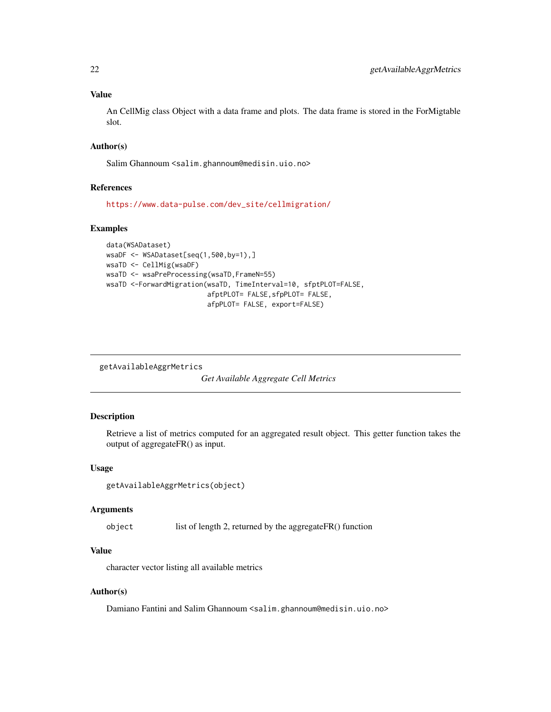### <span id="page-21-0"></span>Value

An CellMig class Object with a data frame and plots. The data frame is stored in the ForMigtable slot.

### Author(s)

Salim Ghannoum <salim.ghannoum@medisin.uio.no>

#### References

[https://www.data-pulse.com/dev\\_site/cellmigration/](https://www.data-pulse.com/dev_site/cellmigration/)

### Examples

```
data(WSADataset)
wsaDF <- WSADataset[seq(1,500,by=1),]
wsaTD <- CellMig(wsaDF)
wsaTD <- wsaPreProcessing(wsaTD,FrameN=55)
wsaTD <-ForwardMigration(wsaTD, TimeInterval=10, sfptPLOT=FALSE,
                         afptPLOT= FALSE,sfpPLOT= FALSE,
                         afpPLOT= FALSE, export=FALSE)
```
getAvailableAggrMetrics

*Get Available Aggregate Cell Metrics*

### Description

Retrieve a list of metrics computed for an aggregated result object. This getter function takes the output of aggregateFR() as input.

### Usage

```
getAvailableAggrMetrics(object)
```
#### Arguments

object list of length 2, returned by the aggregateFR() function

#### Value

character vector listing all available metrics

#### Author(s)

Damiano Fantini and Salim Ghannoum <salim.ghannoum@medisin.uio.no>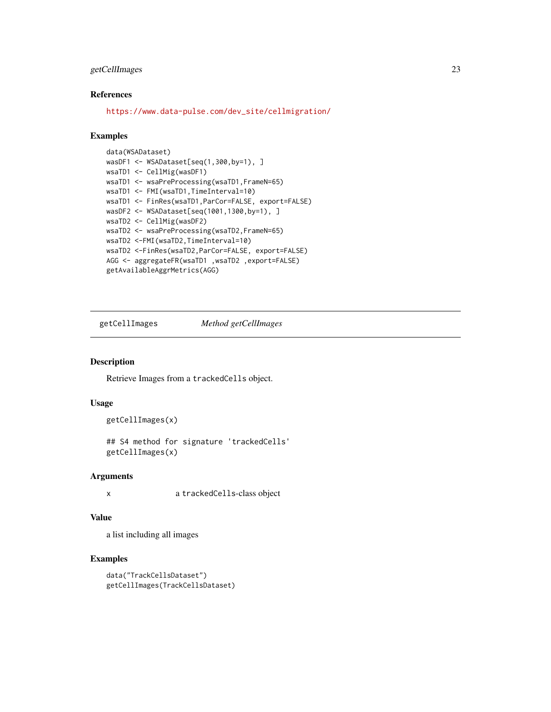### <span id="page-22-0"></span>getCellImages 23

### References

[https://www.data-pulse.com/dev\\_site/cellmigration/](https://www.data-pulse.com/dev_site/cellmigration/)

#### Examples

```
data(WSADataset)
wasDF1 <- WSADataset[seq(1,300,by=1), ]
wsaTD1 <- CellMig(wasDF1)
wsaTD1 <- wsaPreProcessing(wsaTD1,FrameN=65)
wsaTD1 <- FMI(wsaTD1,TimeInterval=10)
wsaTD1 <- FinRes(wsaTD1,ParCor=FALSE, export=FALSE)
wasDF2 <- WSADataset[seq(1001,1300,by=1), ]
wsaTD2 <- CellMig(wasDF2)
wsaTD2 <- wsaPreProcessing(wsaTD2,FrameN=65)
wsaTD2 <-FMI(wsaTD2,TimeInterval=10)
wsaTD2 <-FinRes(wsaTD2,ParCor=FALSE, export=FALSE)
AGG <- aggregateFR(wsaTD1 ,wsaTD2 ,export=FALSE)
getAvailableAggrMetrics(AGG)
```
getCellImages *Method getCellImages*

### Description

Retrieve Images from a trackedCells object.

### Usage

```
getCellImages(x)
```
## S4 method for signature 'trackedCells' getCellImages(x)

#### Arguments

x a trackedCells-class object

#### Value

a list including all images

```
data("TrackCellsDataset")
getCellImages(TrackCellsDataset)
```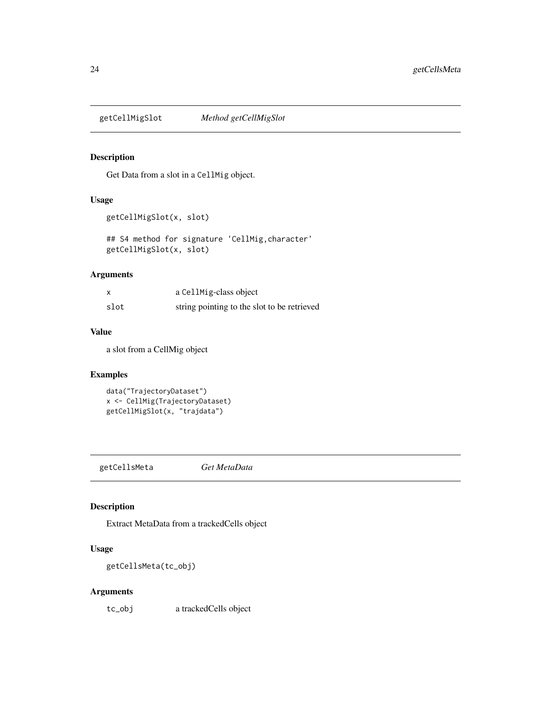<span id="page-23-0"></span>

Get Data from a slot in a CellMig object.

#### Usage

```
getCellMigSlot(x, slot)
```
## S4 method for signature 'CellMig,character' getCellMigSlot(x, slot)

### Arguments

|      | a CellMig-class object                      |
|------|---------------------------------------------|
| slot | string pointing to the slot to be retrieved |

### Value

a slot from a CellMig object

#### Examples

```
data("TrajectoryDataset")
x <- CellMig(TrajectoryDataset)
getCellMigSlot(x, "trajdata")
```
getCellsMeta *Get MetaData*

### Description

Extract MetaData from a trackedCells object

### Usage

getCellsMeta(tc\_obj)

### Arguments

tc\_obj a trackedCells object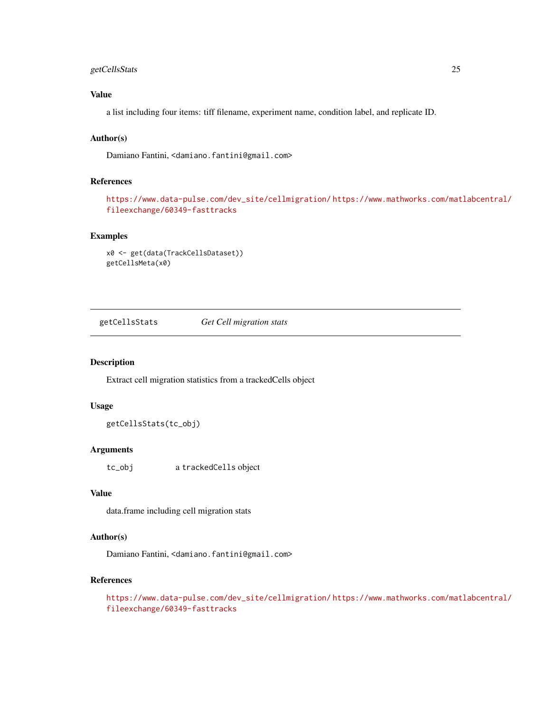### <span id="page-24-0"></span>getCellsStats 25

### Value

a list including four items: tiff filename, experiment name, condition label, and replicate ID.

### Author(s)

Damiano Fantini, <damiano.fantini@gmail.com>

### References

[https://www.data-pulse.com/dev\\_site/cellmigration/](https://www.data-pulse.com/dev_site/cellmigration/) [https://www.mathworks.com/mat](https://www.mathworks.com/matlabcentral/fileexchange/60349-fasttracks)labcentral/ [fileexchange/60349-fasttracks](https://www.mathworks.com/matlabcentral/fileexchange/60349-fasttracks)

### Examples

```
x0 <- get(data(TrackCellsDataset))
getCellsMeta(x0)
```
getCellsStats *Get Cell migration stats*

#### Description

Extract cell migration statistics from a trackedCells object

### Usage

getCellsStats(tc\_obj)

### Arguments

tc\_obj a trackedCells object

#### Value

data.frame including cell migration stats

### Author(s)

Damiano Fantini, <damiano.fantini@gmail.com>

### References

```
https://www.data-pulse.com/dev_site/cellmigration/ https://www.mathworks.com/matlabcentral/
fileexchange/60349-fasttracks
```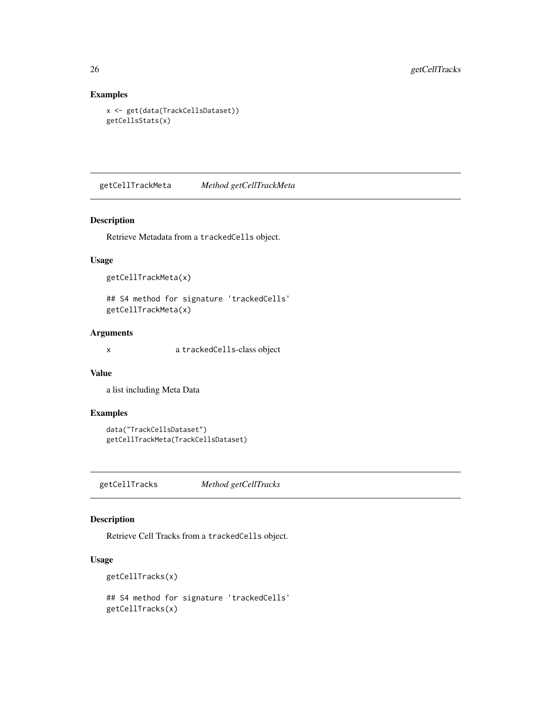### Examples

```
x <- get(data(TrackCellsDataset))
getCellsStats(x)
```
getCellTrackMeta *Method getCellTrackMeta*

#### Description

Retrieve Metadata from a trackedCells object.

### Usage

```
getCellTrackMeta(x)
```
## S4 method for signature 'trackedCells' getCellTrackMeta(x)

### Arguments

x a trackedCells-class object

### Value

a list including Meta Data

### Examples

```
data("TrackCellsDataset")
getCellTrackMeta(TrackCellsDataset)
```
getCellTracks *Method getCellTracks*

### Description

Retrieve Cell Tracks from a trackedCells object.

```
getCellTracks(x)
## S4 method for signature 'trackedCells'
getCellTracks(x)
```
<span id="page-25-0"></span>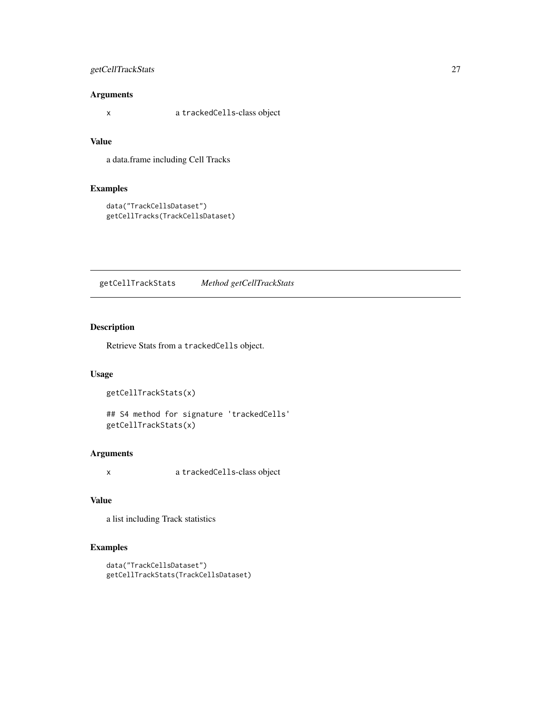### <span id="page-26-0"></span>getCellTrackStats 27

### Arguments

x a trackedCells-class object

### Value

a data.frame including Cell Tracks

### Examples

```
data("TrackCellsDataset")
getCellTracks(TrackCellsDataset)
```
getCellTrackStats *Method getCellTrackStats*

### Description

Retrieve Stats from a trackedCells object.

### Usage

getCellTrackStats(x)

## S4 method for signature 'trackedCells' getCellTrackStats(x)

### Arguments

x a trackedCells-class object

### Value

a list including Track statistics

```
data("TrackCellsDataset")
getCellTrackStats(TrackCellsDataset)
```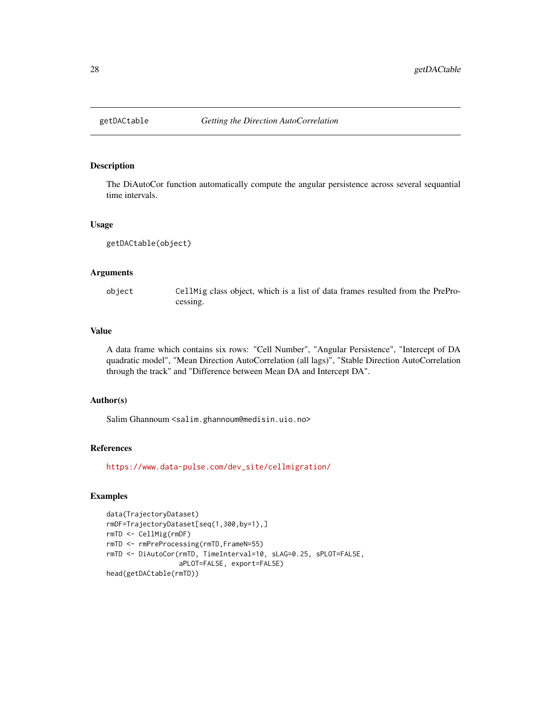<span id="page-27-0"></span>

The DiAutoCor function automatically compute the angular persistence across several sequantial time intervals.

#### Usage

getDACtable(object)

### Arguments

object CellMig class object, which is a list of data frames resulted from the PreProcessing.

### Value

A data frame which contains six rows: "Cell Number", "Angular Persistence", "Intercept of DA quadratic model", "Mean Direction AutoCorrelation (all lags)", "Stable Direction AutoCorrelation through the track" and "Difference between Mean DA and Intercept DA".

#### Author(s)

Salim Ghannoum <salim.ghannoum@medisin.uio.no>

#### References

[https://www.data-pulse.com/dev\\_site/cellmigration/](https://www.data-pulse.com/dev_site/cellmigration/)

```
data(TrajectoryDataset)
rmDF=TrajectoryDataset[seq(1,300,by=1),]
rmTD <- CellMig(rmDF)
rmTD <- rmPreProcessing(rmTD,FrameN=55)
rmTD <- DiAutoCor(rmTD, TimeInterval=10, sLAG=0.25, sPLOT=FALSE,
                  aPLOT=FALSE, export=FALSE)
head(getDACtable(rmTD))
```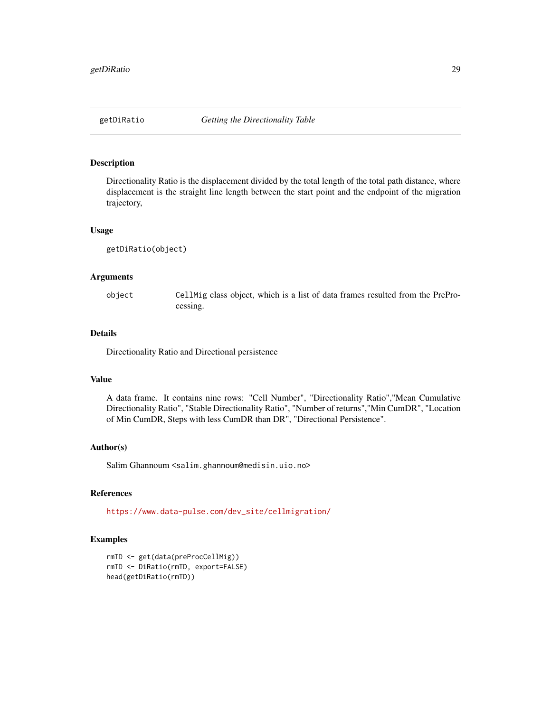<span id="page-28-0"></span>Directionality Ratio is the displacement divided by the total length of the total path distance, where displacement is the straight line length between the start point and the endpoint of the migration trajectory,

#### Usage

```
getDiRatio(object)
```
### Arguments

object CellMig class object, which is a list of data frames resulted from the PreProcessing.

### Details

Directionality Ratio and Directional persistence

#### Value

A data frame. It contains nine rows: "Cell Number", "Directionality Ratio","Mean Cumulative Directionality Ratio", "Stable Directionality Ratio", "Number of returns","Min CumDR", "Location of Min CumDR, Steps with less CumDR than DR", "Directional Persistence".

#### Author(s)

Salim Ghannoum <salim.ghannoum@medisin.uio.no>

#### References

[https://www.data-pulse.com/dev\\_site/cellmigration/](https://www.data-pulse.com/dev_site/cellmigration/)

```
rmTD <- get(data(preProcCellMig))
rmTD <- DiRatio(rmTD, export=FALSE)
head(getDiRatio(rmTD))
```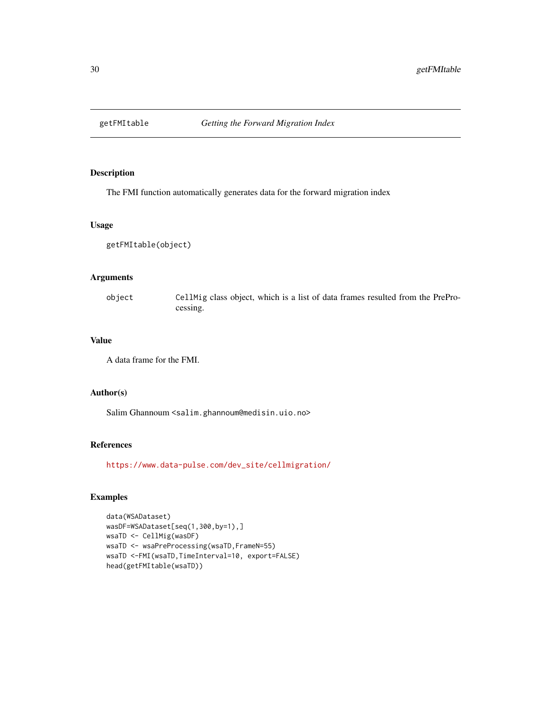<span id="page-29-0"></span>

The FMI function automatically generates data for the forward migration index

#### Usage

getFMItable(object)

### Arguments

object CellMig class object, which is a list of data frames resulted from the PreProcessing.

#### Value

A data frame for the FMI.

### Author(s)

Salim Ghannoum <salim.ghannoum@medisin.uio.no>

### References

[https://www.data-pulse.com/dev\\_site/cellmigration/](https://www.data-pulse.com/dev_site/cellmigration/)

```
data(WSADataset)
wasDF=WSADataset[seq(1,300,by=1),]
wsaTD <- CellMig(wasDF)
wsaTD <- wsaPreProcessing(wsaTD,FrameN=55)
wsaTD <-FMI(wsaTD,TimeInterval=10, export=FALSE)
head(getFMItable(wsaTD))
```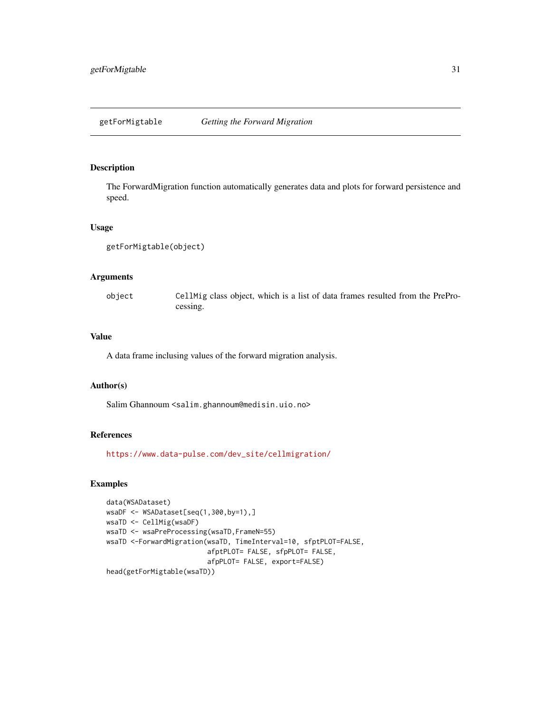<span id="page-30-0"></span>The ForwardMigration function automatically generates data and plots for forward persistence and speed.

#### Usage

```
getForMigtable(object)
```
### Arguments

| object | CellMig class object, which is a list of data frames resulted from the PrePro- |
|--------|--------------------------------------------------------------------------------|
|        | cessing.                                                                       |

### Value

A data frame inclusing values of the forward migration analysis.

### Author(s)

Salim Ghannoum <salim.ghannoum@medisin.uio.no>

### References

[https://www.data-pulse.com/dev\\_site/cellmigration/](https://www.data-pulse.com/dev_site/cellmigration/)

```
data(WSADataset)
wsaDF <- WSADataset[seq(1,300,by=1),]
wsaTD <- CellMig(wsaDF)
wsaTD <- wsaPreProcessing(wsaTD,FrameN=55)
wsaTD <-ForwardMigration(wsaTD, TimeInterval=10, sfptPLOT=FALSE,
                         afptPLOT= FALSE, sfpPLOT= FALSE,
                         afpPLOT= FALSE, export=FALSE)
head(getForMigtable(wsaTD))
```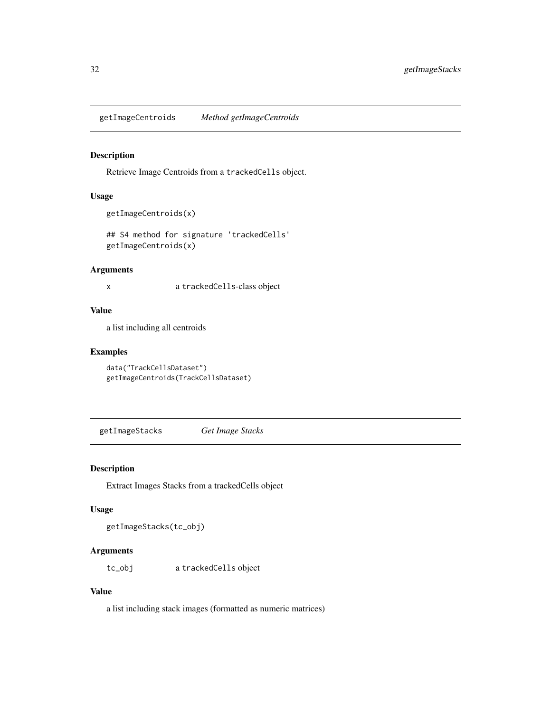<span id="page-31-0"></span>getImageCentroids *Method getImageCentroids*

### Description

Retrieve Image Centroids from a trackedCells object.

### Usage

```
getImageCentroids(x)
```
## S4 method for signature 'trackedCells' getImageCentroids(x)

### Arguments

x a trackedCells-class object

#### Value

a list including all centroids

### Examples

```
data("TrackCellsDataset")
getImageCentroids(TrackCellsDataset)
```
getImageStacks *Get Image Stacks*

#### Description

Extract Images Stacks from a trackedCells object

### Usage

getImageStacks(tc\_obj)

### Arguments

tc\_obj a trackedCells object

### Value

a list including stack images (formatted as numeric matrices)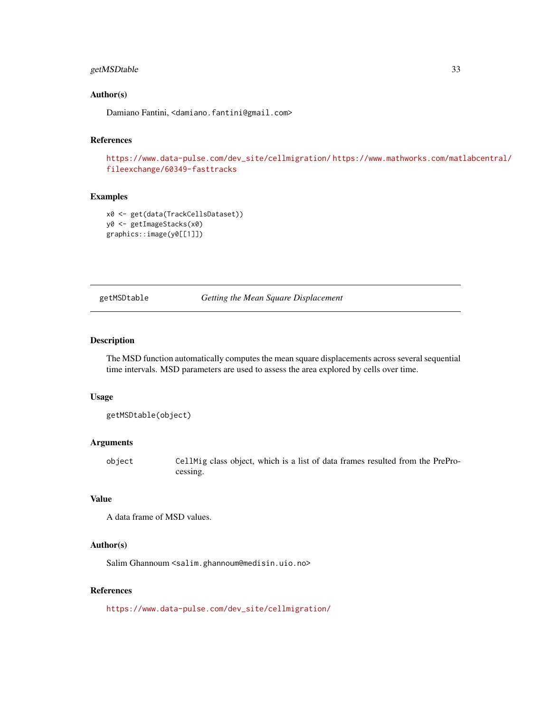### <span id="page-32-0"></span>getMSDtable 33

#### Author(s)

Damiano Fantini, <damiano.fantini@gmail.com>

#### References

[https://www.data-pulse.com/dev\\_site/cellmigration/](https://www.data-pulse.com/dev_site/cellmigration/) [https://www.mathworks.com/mat](https://www.mathworks.com/matlabcentral/fileexchange/60349-fasttracks)labcentral/ [fileexchange/60349-fasttracks](https://www.mathworks.com/matlabcentral/fileexchange/60349-fasttracks)

#### Examples

```
x0 <- get(data(TrackCellsDataset))
y0 <- getImageStacks(x0)
graphics::image(y0[[1]])
```
getMSDtable *Getting the Mean Square Displacement*

### Description

The MSD function automatically computes the mean square displacements across several sequential time intervals. MSD parameters are used to assess the area explored by cells over time.

#### Usage

getMSDtable(object)

### Arguments

object CellMig class object, which is a list of data frames resulted from the PreProcessing.

### Value

```
A data frame of MSD values.
```
#### Author(s)

Salim Ghannoum <salim.ghannoum@medisin.uio.no>

#### References

[https://www.data-pulse.com/dev\\_site/cellmigration/](https://www.data-pulse.com/dev_site/cellmigration/)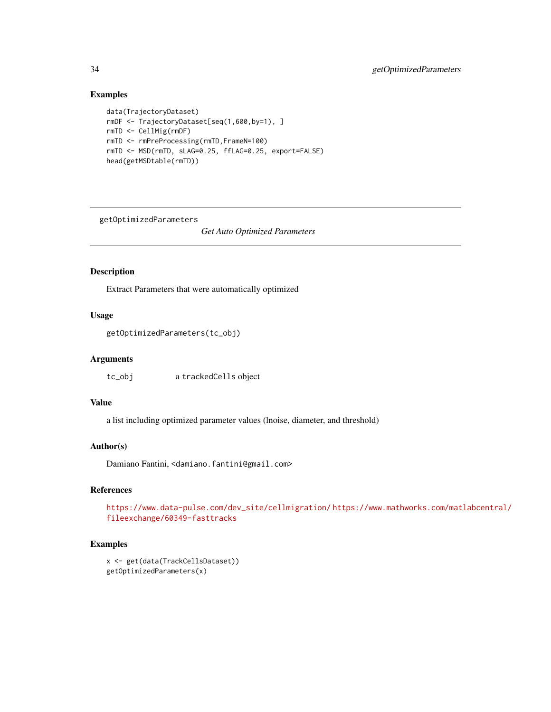### Examples

```
data(TrajectoryDataset)
rmDF <- TrajectoryDataset[seq(1,600,by=1), ]
rmTD <- CellMig(rmDF)
rmTD <- rmPreProcessing(rmTD,FrameN=100)
rmTD <- MSD(rmTD, sLAG=0.25, ffLAG=0.25, export=FALSE)
head(getMSDtable(rmTD))
```
getOptimizedParameters

*Get Auto Optimized Parameters*

### Description

Extract Parameters that were automatically optimized

### Usage

```
getOptimizedParameters(tc_obj)
```
### Arguments

tc\_obj a trackedCells object

### Value

a list including optimized parameter values (lnoise, diameter, and threshold)

#### Author(s)

Damiano Fantini, <damiano.fantini@gmail.com>

### References

```
https://www.data-pulse.com/dev_site/cellmigration/ https://www.mathworks.com/matlabcentral/
fileexchange/60349-fasttracks
```

```
x <- get(data(TrackCellsDataset))
getOptimizedParameters(x)
```
<span id="page-33-0"></span>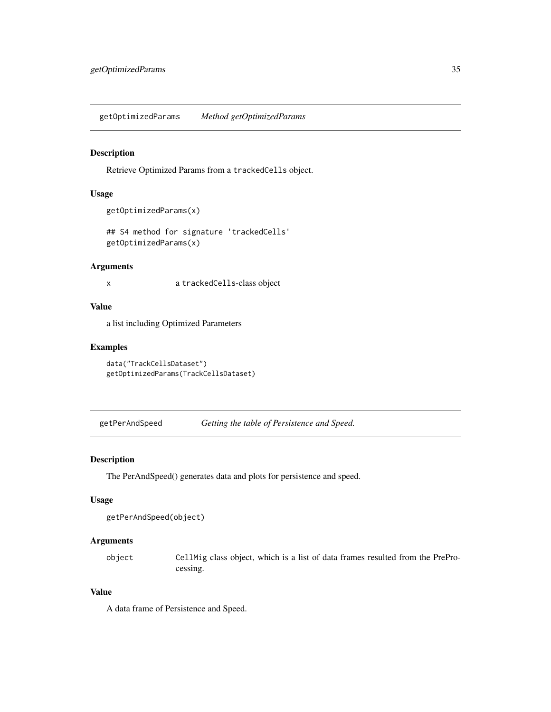<span id="page-34-0"></span>getOptimizedParams *Method getOptimizedParams*

### Description

Retrieve Optimized Params from a trackedCells object.

### Usage

```
getOptimizedParams(x)
```

```
## S4 method for signature 'trackedCells'
getOptimizedParams(x)
```
### Arguments

x a trackedCells-class object

### Value

a list including Optimized Parameters

### Examples

```
data("TrackCellsDataset")
getOptimizedParams(TrackCellsDataset)
```
getPerAndSpeed *Getting the table of Persistence and Speed.*

### Description

The PerAndSpeed() generates data and plots for persistence and speed.

### Usage

```
getPerAndSpeed(object)
```
### Arguments

object CellMig class object, which is a list of data frames resulted from the PreProcessing.

### Value

A data frame of Persistence and Speed.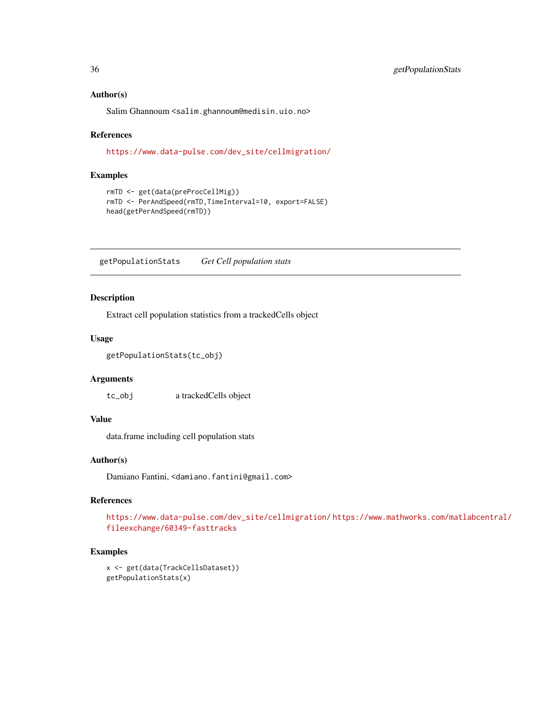#### Author(s)

Salim Ghannoum <salim.ghannoum@medisin.uio.no>

#### References

[https://www.data-pulse.com/dev\\_site/cellmigration/](https://www.data-pulse.com/dev_site/cellmigration/)

#### Examples

```
rmTD <- get(data(preProcCellMig))
rmTD <- PerAndSpeed(rmTD,TimeInterval=10, export=FALSE)
head(getPerAndSpeed(rmTD))
```
getPopulationStats *Get Cell population stats*

### Description

Extract cell population statistics from a trackedCells object

#### Usage

```
getPopulationStats(tc_obj)
```
#### **Arguments**

tc\_obj a trackedCells object

### Value

data.frame including cell population stats

### Author(s)

Damiano Fantini, <damiano.fantini@gmail.com>

### References

[https://www.data-pulse.com/dev\\_site/cellmigration/](https://www.data-pulse.com/dev_site/cellmigration/) [https://www.mathworks.com/mat](https://www.mathworks.com/matlabcentral/fileexchange/60349-fasttracks)labcentral/ [fileexchange/60349-fasttracks](https://www.mathworks.com/matlabcentral/fileexchange/60349-fasttracks)

```
x <- get(data(TrackCellsDataset))
getPopulationStats(x)
```
<span id="page-35-0"></span>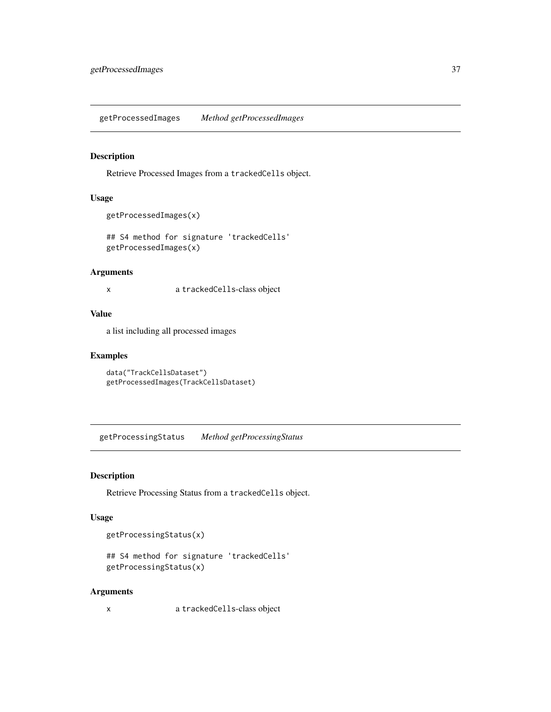<span id="page-36-0"></span>getProcessedImages *Method getProcessedImages*

#### Description

Retrieve Processed Images from a trackedCells object.

### Usage

```
getProcessedImages(x)
```
## S4 method for signature 'trackedCells' getProcessedImages(x)

### Arguments

x a trackedCells-class object

### Value

a list including all processed images

### Examples

```
data("TrackCellsDataset")
getProcessedImages(TrackCellsDataset)
```
getProcessingStatus *Method getProcessingStatus*

#### Description

Retrieve Processing Status from a trackedCells object.

### Usage

getProcessingStatus(x)

```
## S4 method for signature 'trackedCells'
getProcessingStatus(x)
```
#### Arguments

x a trackedCells-class object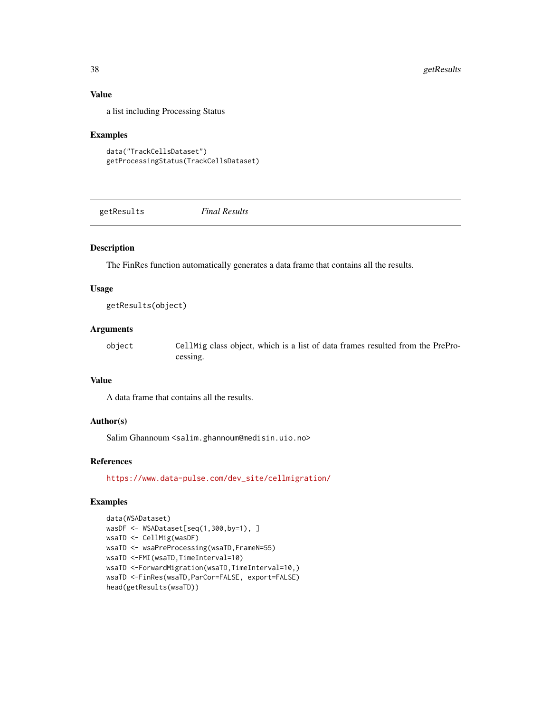### Value

a list including Processing Status

#### Examples

```
data("TrackCellsDataset")
getProcessingStatus(TrackCellsDataset)
```
getResults *Final Results*

### Description

The FinRes function automatically generates a data frame that contains all the results.

#### Usage

getResults(object)

#### Arguments

object CellMig class object, which is a list of data frames resulted from the PreProcessing.

### Value

A data frame that contains all the results.

### Author(s)

Salim Ghannoum <salim.ghannoum@medisin.uio.no>

#### References

[https://www.data-pulse.com/dev\\_site/cellmigration/](https://www.data-pulse.com/dev_site/cellmigration/)

```
data(WSADataset)
wasDF <- WSADataset[seq(1,300,by=1), ]
wsaTD <- CellMig(wasDF)
wsaTD <- wsaPreProcessing(wsaTD,FrameN=55)
wsaTD <-FMI(wsaTD,TimeInterval=10)
wsaTD <-ForwardMigration(wsaTD,TimeInterval=10,)
wsaTD <-FinRes(wsaTD,ParCor=FALSE, export=FALSE)
head(getResults(wsaTD))
```
<span id="page-37-0"></span>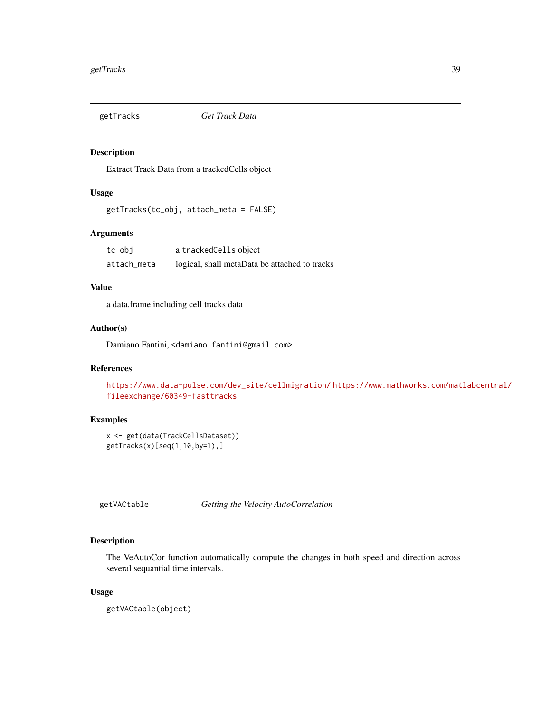<span id="page-38-0"></span>

Extract Track Data from a trackedCells object

### Usage

getTracks(tc\_obj, attach\_meta = FALSE)

### Arguments

| tc_obj      | a trackedCells object                         |
|-------------|-----------------------------------------------|
| attach_meta | logical, shall metaData be attached to tracks |

### Value

a data.frame including cell tracks data

### Author(s)

Damiano Fantini, <damiano.fantini@gmail.com>

### References

```
https://www.data-pulse.com/dev_site/cellmigration/ https://www.mathworks.com/matlabcentral/
fileexchange/60349-fasttracks
```
### Examples

```
x <- get(data(TrackCellsDataset))
getTracks(x)[seq(1,10,by=1),]
```
getVACtable *Getting the Velocity AutoCorrelation*

### Description

The VeAutoCor function automatically compute the changes in both speed and direction across several sequantial time intervals.

#### Usage

getVACtable(object)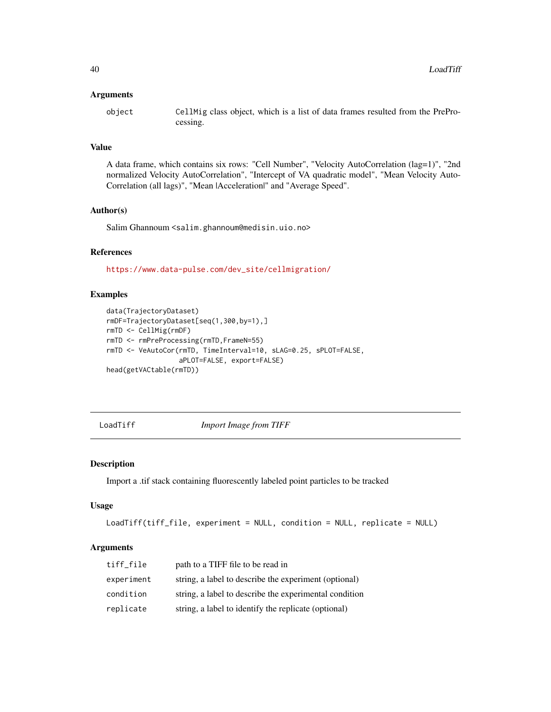#### <span id="page-39-0"></span>**Arguments**

object CellMig class object, which is a list of data frames resulted from the PreProcessing.

### Value

A data frame, which contains six rows: "Cell Number", "Velocity AutoCorrelation (lag=1)", "2nd normalized Velocity AutoCorrelation", "Intercept of VA quadratic model", "Mean Velocity Auto-Correlation (all lags)", "Mean |Acceleration|" and "Average Speed".

#### Author(s)

Salim Ghannoum <salim.ghannoum@medisin.uio.no>

### References

[https://www.data-pulse.com/dev\\_site/cellmigration/](https://www.data-pulse.com/dev_site/cellmigration/)

### Examples

```
data(TrajectoryDataset)
rmDF=TrajectoryDataset[seq(1,300,by=1),]
rmTD <- CellMig(rmDF)
rmTD <- rmPreProcessing(rmTD,FrameN=55)
rmTD <- VeAutoCor(rmTD, TimeInterval=10, sLAG=0.25, sPLOT=FALSE,
                  aPLOT=FALSE, export=FALSE)
head(getVACtable(rmTD))
```
LoadTiff *Import Image from TIFF*

#### Description

Import a .tif stack containing fluorescently labeled point particles to be tracked

#### Usage

```
LoadTiff(tiff_file, experiment = NULL, condition = NULL, replicate = NULL)
```
#### **Arguments**

| tiff file  | path to a TIFF file to be read in                      |
|------------|--------------------------------------------------------|
| experiment | string, a label to describe the experiment (optional)  |
| condition  | string, a label to describe the experimental condition |
| replicate  | string, a label to identify the replicate (optional)   |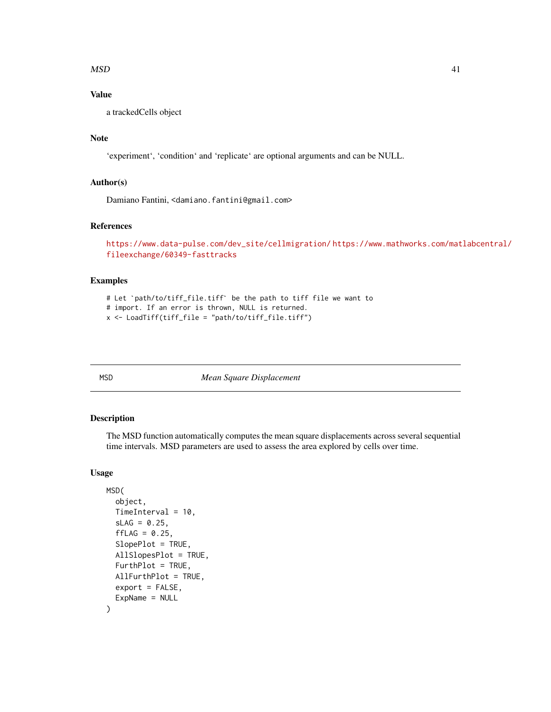#### <span id="page-40-0"></span> $\mathbf{MSD}$  41

### Value

a trackedCells object

### Note

'experiment', 'condition' and 'replicate' are optional arguments and can be NULL.

### Author(s)

Damiano Fantini, <damiano.fantini@gmail.com>

#### References

```
https://www.data-pulse.com/dev_site/cellmigration/ https://www.mathworks.com/matlabcentral/
fileexchange/60349-fasttracks
```
### Examples

```
# Let `path/to/tiff_file.tiff` be the path to tiff file we want to
# import. If an error is thrown, NULL is returned.
x <- LoadTiff(tiff_file = "path/to/tiff_file.tiff")
```
MSD *Mean Square Displacement*

### Description

The MSD function automatically computes the mean square displacements across several sequential time intervals. MSD parameters are used to assess the area explored by cells over time.

```
MSD(
  object,
  TimeInterval = 10,
  SLAG = 0.25,
  ffLAG = 0.25,SlopePlot = TRUE,
  AllSlopesPlot = TRUE,
  FurthPlot = TRUE,
  AllFurthPlot = TRUE,
  export = FALSE,ExpName = NULL
)
```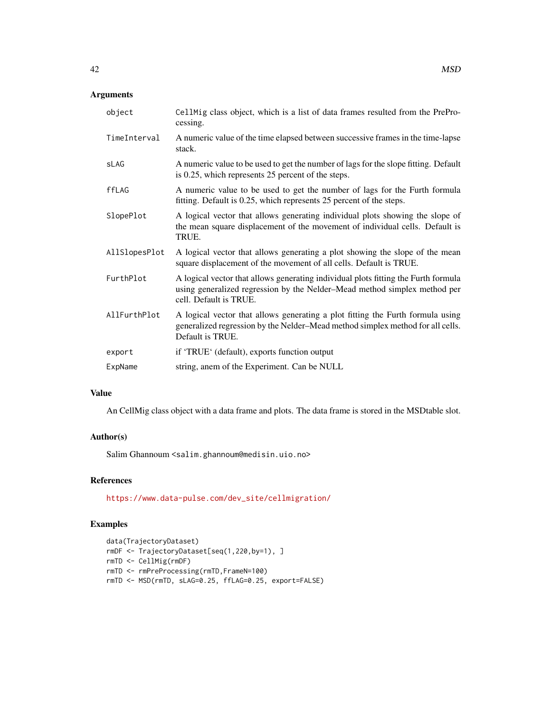### Arguments

| object        | CellMig class object, which is a list of data frames resulted from the PrePro-<br>cessing.                                                                                                |
|---------------|-------------------------------------------------------------------------------------------------------------------------------------------------------------------------------------------|
| TimeInterval  | A numeric value of the time elapsed between successive frames in the time-lapse<br>stack.                                                                                                 |
| sLAG          | A numeric value to be used to get the number of lags for the slope fitting. Default<br>is 0.25, which represents 25 percent of the steps.                                                 |
| ffLAG         | A numeric value to be used to get the number of lags for the Furth formula<br>fitting. Default is 0.25, which represents 25 percent of the steps.                                         |
| SlopePlot     | A logical vector that allows generating individual plots showing the slope of<br>the mean square displacement of the movement of individual cells. Default is<br>TRUE.                    |
| AllSlopesPlot | A logical vector that allows generating a plot showing the slope of the mean<br>square displacement of the movement of all cells. Default is TRUE.                                        |
| FurthPlot     | A logical vector that allows generating individual plots fitting the Furth formula<br>using generalized regression by the Nelder-Mead method simplex method per<br>cell. Default is TRUE. |
| AllFurthPlot  | A logical vector that allows generating a plot fitting the Furth formula using<br>generalized regression by the Nelder-Mead method simplex method for all cells.<br>Default is TRUE.      |
| export        | if 'TRUE' (default), exports function output                                                                                                                                              |
| ExpName       | string, anem of the Experiment. Can be NULL                                                                                                                                               |

### Value

An CellMig class object with a data frame and plots. The data frame is stored in the MSDtable slot.

### Author(s)

Salim Ghannoum <salim.ghannoum@medisin.uio.no>

## References

[https://www.data-pulse.com/dev\\_site/cellmigration/](https://www.data-pulse.com/dev_site/cellmigration/)

```
data(TrajectoryDataset)
rmDF <- TrajectoryDataset[seq(1,220,by=1), ]
rmTD <- CellMig(rmDF)
rmTD <- rmPreProcessing(rmTD,FrameN=100)
rmTD <- MSD(rmTD, sLAG=0.25, ffLAG=0.25, export=FALSE)
```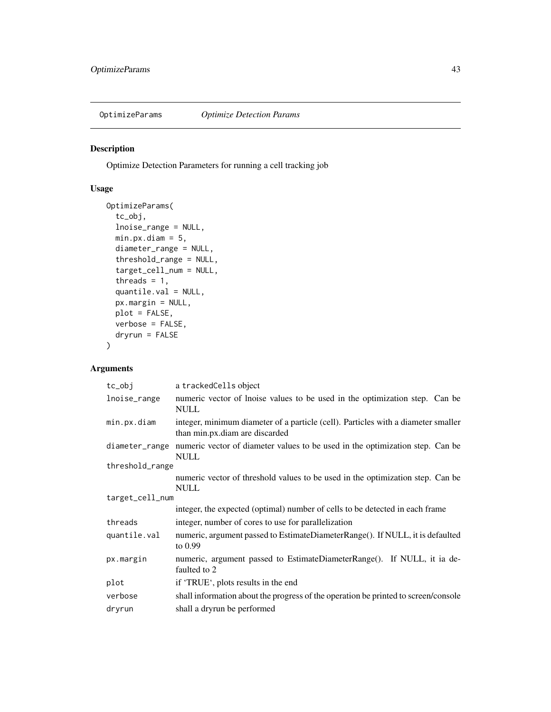<span id="page-42-0"></span>

Optimize Detection Parameters for running a cell tracking job

## Usage

```
OptimizeParams(
  tc_obj,
  lnoise_range = NULL,
 min.py.diam = 5,
 diameter_range = NULL,
  threshold_range = NULL,
  target_cell_num = NULL,
  threads = 1,
  quantile.val = NULL,
 px.margin = NULL,
 plot = FALSE,
  verbose = FALSE,
  dryrun = FALSE
)
```
### Arguments

| tc_obj          | a trackedCells object                                                                                               |
|-----------------|---------------------------------------------------------------------------------------------------------------------|
| lnoise_range    | numeric vector of lnoise values to be used in the optimization step. Can be<br><b>NULL</b>                          |
| min.px.diam     | integer, minimum diameter of a particle (cell). Particles with a diameter smaller<br>than min.px.diam are discarded |
| diameter_range  | numeric vector of diameter values to be used in the optimization step. Can be<br><b>NULL</b>                        |
| threshold_range |                                                                                                                     |
|                 | numeric vector of threshold values to be used in the optimization step. Can be<br><b>NULL</b>                       |
| target_cell_num |                                                                                                                     |
|                 | integer, the expected (optimal) number of cells to be detected in each frame                                        |
| threads         | integer, number of cores to use for parallelization                                                                 |
| quantile.val    | numeric, argument passed to EstimateDiameterRange(). If NULL, it is defaulted<br>to $0.99$                          |
| px.margin       | numeric, argument passed to EstimateDiameterRange(). If NULL, it ia de-<br>faulted to 2                             |
| plot            | if 'TRUE', plots results in the end                                                                                 |
| verbose         | shall information about the progress of the operation be printed to screen/console                                  |
| dryrun          | shall a dryrun be performed                                                                                         |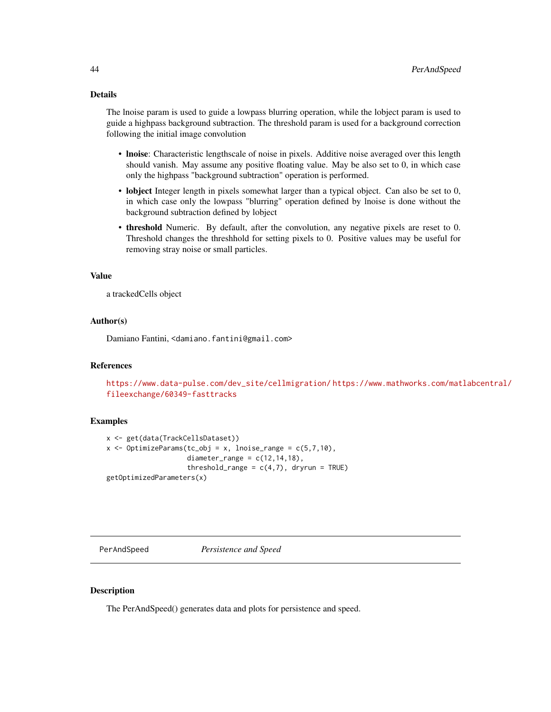### <span id="page-43-0"></span>Details

The lnoise param is used to guide a lowpass blurring operation, while the lobject param is used to guide a highpass background subtraction. The threshold param is used for a background correction following the initial image convolution

- lnoise: Characteristic lengthscale of noise in pixels. Additive noise averaged over this length should vanish. May assume any positive floating value. May be also set to 0, in which case only the highpass "background subtraction" operation is performed.
- lobject Integer length in pixels somewhat larger than a typical object. Can also be set to 0, in which case only the lowpass "blurring" operation defined by lnoise is done without the background subtraction defined by lobject
- threshold Numeric. By default, after the convolution, any negative pixels are reset to 0. Threshold changes the threshhold for setting pixels to 0. Positive values may be useful for removing stray noise or small particles.

### Value

a trackedCells object

### Author(s)

Damiano Fantini, <damiano.fantini@gmail.com>

#### References

```
https://www.data-pulse.com/dev_site/cellmigration/ https://www.mathworks.com/matlabcentral/
fileexchange/60349-fasttracks
```
#### Examples

```
x <- get(data(TrackCellsDataset))
x \leq OptimizeParams(tc_obj = x, lnoise_range = c(5,7,10),
                    diameter_range = c(12,14,18),
                    threshold_range = c(4,7), dryrun = TRUE)
getOptimizedParameters(x)
```
PerAndSpeed *Persistence and Speed*

#### Description

The PerAndSpeed() generates data and plots for persistence and speed.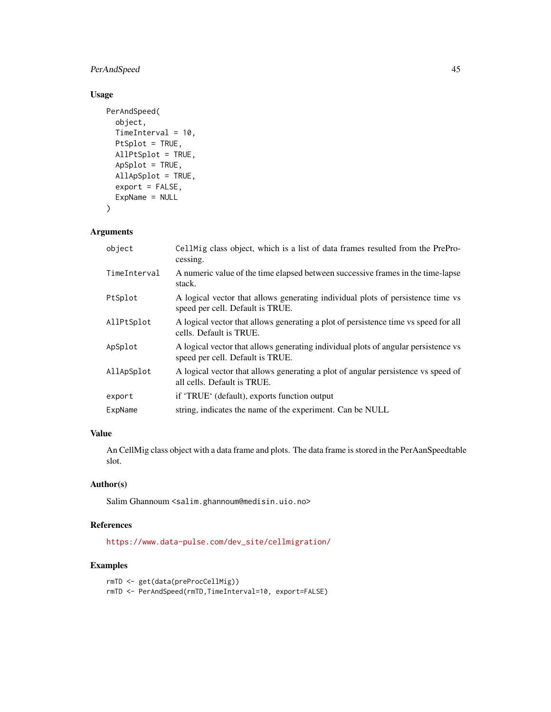### PerAndSpeed 45

### Usage

```
PerAndSpeed(
 object,
  TimeInterval = 10,
 PtSplot = TRUE,
 AllPtSplot = TRUE,
  ApSplot = TRUE,
 AllApSplot = TRUE,
  export = FALSE,ExpName = NULL
\mathcal{L}
```
### Arguments

| object       | CellMig class object, which is a list of data frames resulted from the PrePro-<br>cessing.                             |
|--------------|------------------------------------------------------------------------------------------------------------------------|
| TimeInterval | A numeric value of the time elapsed between successive frames in the time-lapse<br>stack.                              |
| PtSplot      | A logical vector that allows generating individual plots of persistence time vs<br>speed per cell. Default is TRUE.    |
| AllPtSplot   | A logical vector that allows generating a plot of persistence time vs speed for all<br>cells. Default is TRUE.         |
| ApSplot      | A logical vector that allows generating individual plots of angular persistence vs<br>speed per cell. Default is TRUE. |
| AllApSplot   | A logical vector that allows generating a plot of angular persistence vs speed of<br>all cells. Default is TRUE.       |
| export       | if 'TRUE' (default), exports function output                                                                           |
| ExpName      | string, indicates the name of the experiment. Can be NULL                                                              |
|              |                                                                                                                        |

### Value

An CellMig class object with a data frame and plots. The data frame is stored in the PerAanSpeedtable slot.

### Author(s)

Salim Ghannoum <salim.ghannoum@medisin.uio.no>

### References

[https://www.data-pulse.com/dev\\_site/cellmigration/](https://www.data-pulse.com/dev_site/cellmigration/)

```
rmTD <- get(data(preProcCellMig))
rmTD <- PerAndSpeed(rmTD,TimeInterval=10, export=FALSE)
```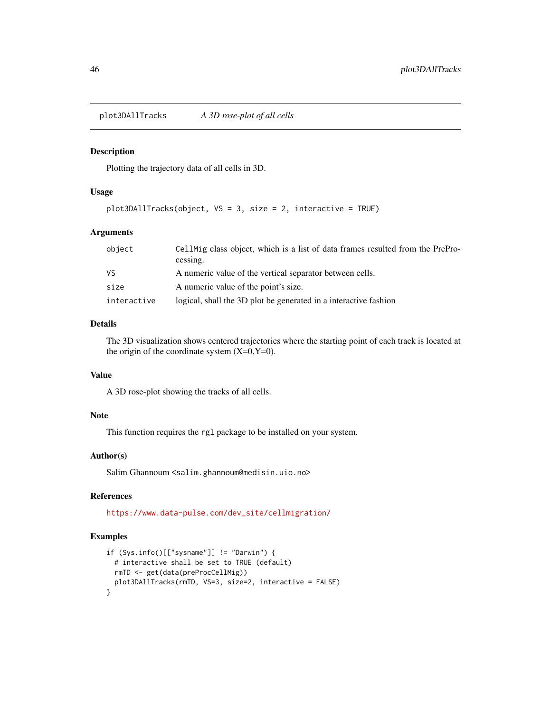<span id="page-45-0"></span>plot3DAllTracks *A 3D rose-plot of all cells*

#### Description

Plotting the trajectory data of all cells in 3D.

#### Usage

plot3DAllTracks(object, VS = 3, size = 2, interactive = TRUE)

### Arguments

| object      | CellMig class object, which is a list of data frames resulted from the PrePro-<br>cessing. |
|-------------|--------------------------------------------------------------------------------------------|
| VS.         | A numeric value of the vertical separator between cells.                                   |
| size        | A numeric value of the point's size.                                                       |
| interactive | logical, shall the 3D plot be generated in a interactive fashion                           |

### Details

The 3D visualization shows centered trajectories where the starting point of each track is located at the origin of the coordinate system  $(X=0, Y=0)$ .

### Value

A 3D rose-plot showing the tracks of all cells.

### Note

This function requires the rgl package to be installed on your system.

#### Author(s)

Salim Ghannoum <salim.ghannoum@medisin.uio.no>

#### References

[https://www.data-pulse.com/dev\\_site/cellmigration/](https://www.data-pulse.com/dev_site/cellmigration/)

```
if (Sys.info()[["sysname"]] != "Darwin") {
 # interactive shall be set to TRUE (default)
 rmTD <- get(data(preProcCellMig))
 plot3DAllTracks(rmTD, VS=3, size=2, interactive = FALSE)
}
```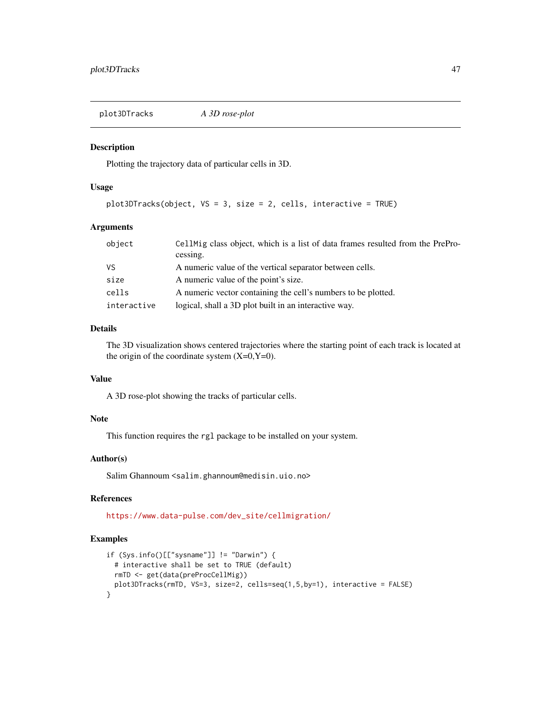<span id="page-46-0"></span>plot3DTracks *A 3D rose-plot*

#### Description

Plotting the trajectory data of particular cells in 3D.

#### Usage

```
plot3DTracks(object, VS = 3, size = 2, cells, interactive = TRUE)
```
### Arguments

| object      | CellMig class object, which is a list of data frames resulted from the PrePro-<br>cessing. |
|-------------|--------------------------------------------------------------------------------------------|
| VS          | A numeric value of the vertical separator between cells.                                   |
| size        | A numeric value of the point's size.                                                       |
| cells       | A numeric vector containing the cell's numbers to be plotted.                              |
| interactive | logical, shall a 3D plot built in an interactive way.                                      |

### Details

The 3D visualization shows centered trajectories where the starting point of each track is located at the origin of the coordinate system  $(X=0, Y=0)$ .

#### Value

A 3D rose-plot showing the tracks of particular cells.

#### Note

This function requires the rgl package to be installed on your system.

### Author(s)

Salim Ghannoum <salim.ghannoum@medisin.uio.no>

### References

[https://www.data-pulse.com/dev\\_site/cellmigration/](https://www.data-pulse.com/dev_site/cellmigration/)

```
if (Sys.info()[["sysname"]] != "Darwin") {
 # interactive shall be set to TRUE (default)
 rmTD <- get(data(preProcCellMig))
 plot3DTracks(rmTD, VS=3, size=2, cells=seq(1,5,by=1), interactive = FALSE)
}
```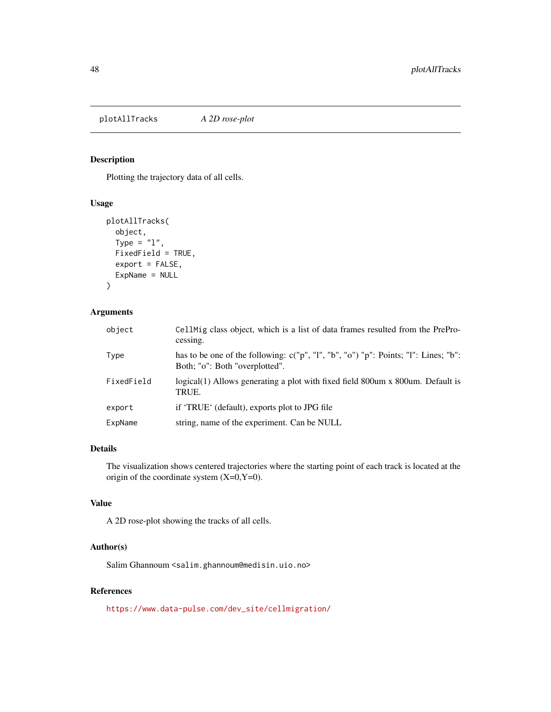<span id="page-47-0"></span>plotAllTracks *A 2D rose-plot*

### Description

Plotting the trajectory data of all cells.

### Usage

```
plotAllTracks(
  object,
  Type = "1",FixedField = TRUE,
  export = FALSE,
 ExpName = NULL
)
```
### Arguments

| object     | Cell Mig class object, which is a list of data frames resulted from the PrePro-<br>cessing.                           |
|------------|-----------------------------------------------------------------------------------------------------------------------|
| Type       | has to be one of the following: c("p", "l", "b", "o") "p": Points; "l": Lines; "b":<br>Both; "o": Both "overplotted". |
| FixedField | logical(1) Allows generating a plot with fixed field 800um x 800um. Default is<br>TRUE.                               |
| export     | if 'TRUE' (default), exports plot to JPG file                                                                         |
| ExpName    | string, name of the experiment. Can be NULL                                                                           |

#### Details

The visualization shows centered trajectories where the starting point of each track is located at the origin of the coordinate system  $(X=0, Y=0)$ .

### Value

A 2D rose-plot showing the tracks of all cells.

### Author(s)

Salim Ghannoum <salim.ghannoum@medisin.uio.no>

### References

[https://www.data-pulse.com/dev\\_site/cellmigration/](https://www.data-pulse.com/dev_site/cellmigration/)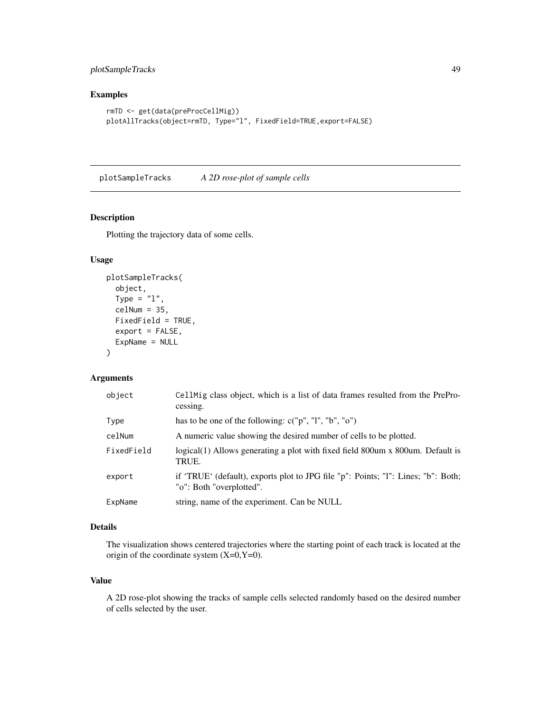### <span id="page-48-0"></span>plotSampleTracks 49

### Examples

```
rmTD <- get(data(preProcCellMig))
plotAllTracks(object=rmTD, Type="l", FixedField=TRUE,export=FALSE)
```
plotSampleTracks *A 2D rose-plot of sample cells*

## Description

Plotting the trajectory data of some cells.

#### Usage

```
plotSampleTracks(
  object,
  Type = "1",cellNum = 35,FixedField = TRUE,
  export = FALSE,
  ExpName = NULL
)
```
### Arguments

| object     | CellMig class object, which is a list of data frames resulted from the PrePro-<br>cessing.                    |
|------------|---------------------------------------------------------------------------------------------------------------|
| Type       | has to be one of the following: $c("p", "l", "b", "o")$                                                       |
| celNum     | A numeric value showing the desired number of cells to be plotted.                                            |
| FixedField | logical(1) Allows generating a plot with fixed field 800 um x 800 um. Default is<br>TRUE.                     |
| export     | if 'TRUE' (default), exports plot to JPG file "p": Points; "I": Lines; "b": Both;<br>"o": Both "overplotted". |
| ExpName    | string, name of the experiment. Can be NULL                                                                   |

#### Details

The visualization shows centered trajectories where the starting point of each track is located at the origin of the coordinate system  $(X=0, Y=0)$ .

### Value

A 2D rose-plot showing the tracks of sample cells selected randomly based on the desired number of cells selected by the user.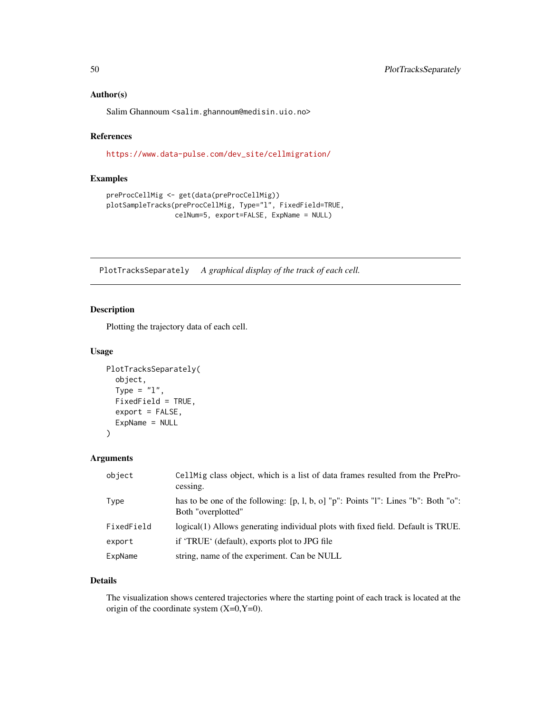#### <span id="page-49-0"></span>Author(s)

Salim Ghannoum <salim.ghannoum@medisin.uio.no>

### References

[https://www.data-pulse.com/dev\\_site/cellmigration/](https://www.data-pulse.com/dev_site/cellmigration/)

### Examples

```
preProcCellMig <- get(data(preProcCellMig))
plotSampleTracks(preProcCellMig, Type="l", FixedField=TRUE,
                 celNum=5, export=FALSE, ExpName = NULL)
```
PlotTracksSeparately *A graphical display of the track of each cell.*

### Description

Plotting the trajectory data of each cell.

### Usage

```
PlotTracksSeparately(
  object,
  Type = "1",FixedField = TRUE,
  export = FALSE,
 ExpName = NULL
)
```
#### Arguments

| object     | CellMig class object, which is a list of data frames resulted from the PrePro-<br>cessing.                     |
|------------|----------------------------------------------------------------------------------------------------------------|
| Type       | has to be one of the following: $[p, l, b, o]$ " $p$ ": Points "I": Lines "b": Both "o":<br>Both "overplotted" |
| FixedField | logical(1) Allows generating individual plots with fixed field. Default is TRUE.                               |
| export     | if 'TRUE' (default), exports plot to JPG file                                                                  |
| ExpName    | string, name of the experiment. Can be NULL                                                                    |

#### Details

The visualization shows centered trajectories where the starting point of each track is located at the origin of the coordinate system  $(X=0, Y=0)$ .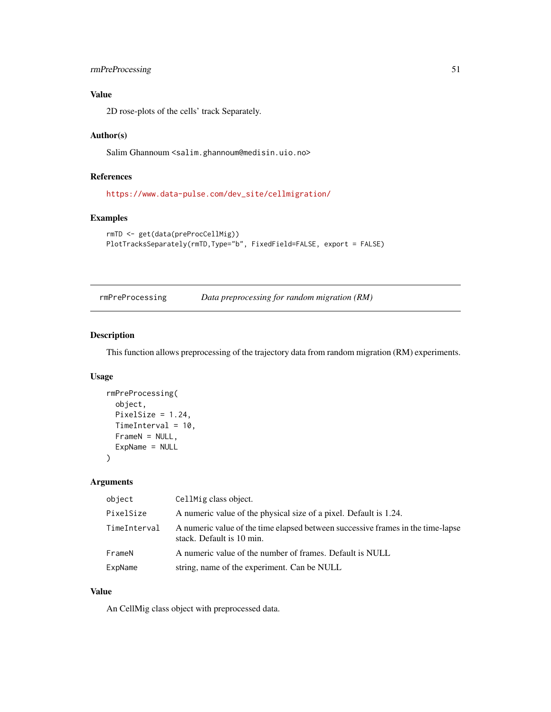### <span id="page-50-0"></span>rmPreProcessing 51

### Value

2D rose-plots of the cells' track Separately.

#### Author(s)

Salim Ghannoum <salim.ghannoum@medisin.uio.no>

### References

[https://www.data-pulse.com/dev\\_site/cellmigration/](https://www.data-pulse.com/dev_site/cellmigration/)

### Examples

```
rmTD <- get(data(preProcCellMig))
PlotTracksSeparately(rmTD,Type="b", FixedField=FALSE, export = FALSE)
```
rmPreProcessing *Data preprocessing for random migration (RM)*

### Description

This function allows preprocessing of the trajectory data from random migration (RM) experiments.

#### Usage

```
rmPreProcessing(
 object,
 PixelSize = 1.24,
 TimeInterval = 10,
 FrameN = NULL,
 ExpName = NULL
\lambda
```
#### Arguments

| object       | CellMig class object.                                                                                        |
|--------------|--------------------------------------------------------------------------------------------------------------|
| PixelSize    | A numeric value of the physical size of a pixel. Default is 1.24.                                            |
| TimeInterval | A numeric value of the time elapsed between successive frames in the time-lapse<br>stack. Default is 10 min. |
| FrameN       | A numeric value of the number of frames. Default is NULL                                                     |
| ExpName      | string, name of the experiment. Can be NULL                                                                  |

### Value

An CellMig class object with preprocessed data.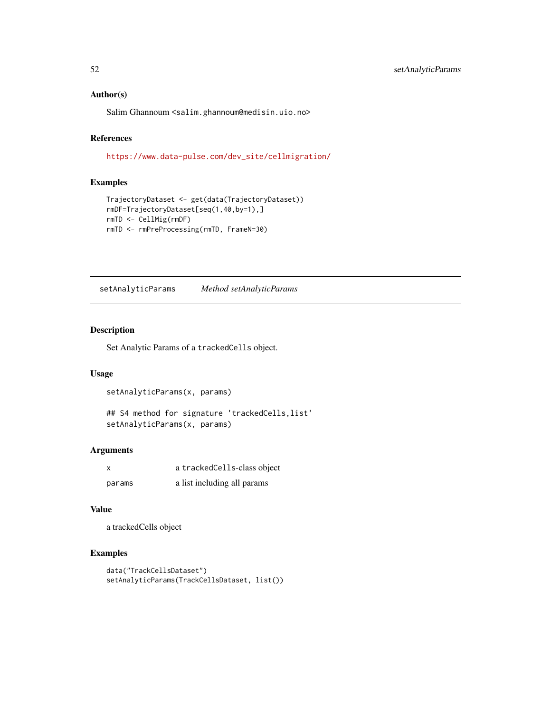#### <span id="page-51-0"></span>Author(s)

Salim Ghannoum <salim.ghannoum@medisin.uio.no>

### References

[https://www.data-pulse.com/dev\\_site/cellmigration/](https://www.data-pulse.com/dev_site/cellmigration/)

### Examples

```
TrajectoryDataset <- get(data(TrajectoryDataset))
rmDF=TrajectoryDataset[seq(1,40,by=1),]
rmTD <- CellMig(rmDF)
rmTD <- rmPreProcessing(rmTD, FrameN=30)
```
setAnalyticParams *Method setAnalyticParams*

#### Description

Set Analytic Params of a trackedCells object.

#### Usage

```
setAnalyticParams(x, params)
```

```
## S4 method for signature 'trackedCells,list'
setAnalyticParams(x, params)
```
### Arguments

| x      | a tracked Cells-class object |
|--------|------------------------------|
| params | a list including all params  |

#### Value

a trackedCells object

```
data("TrackCellsDataset")
setAnalyticParams(TrackCellsDataset, list())
```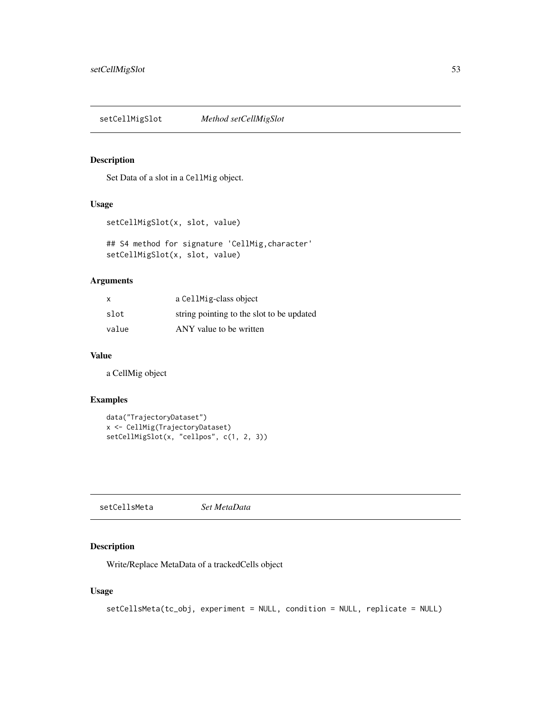<span id="page-52-0"></span>setCellMigSlot *Method setCellMigSlot*

#### Description

Set Data of a slot in a CellMig object.

### Usage

```
setCellMigSlot(x, slot, value)
```
## S4 method for signature 'CellMig, character' setCellMigSlot(x, slot, value)

### Arguments

| $\mathsf{x}$ | a CellMig-class object                    |
|--------------|-------------------------------------------|
| slot         | string pointing to the slot to be updated |
| value        | ANY value to be written                   |

### Value

a CellMig object

### Examples

```
data("TrajectoryDataset")
x <- CellMig(TrajectoryDataset)
setCellMigSlot(x, "cellpos", c(1, 2, 3))
```
setCellsMeta *Set MetaData*

### Description

Write/Replace MetaData of a trackedCells object

```
setCellsMeta(tc_obj, experiment = NULL, condition = NULL, replicate = NULL)
```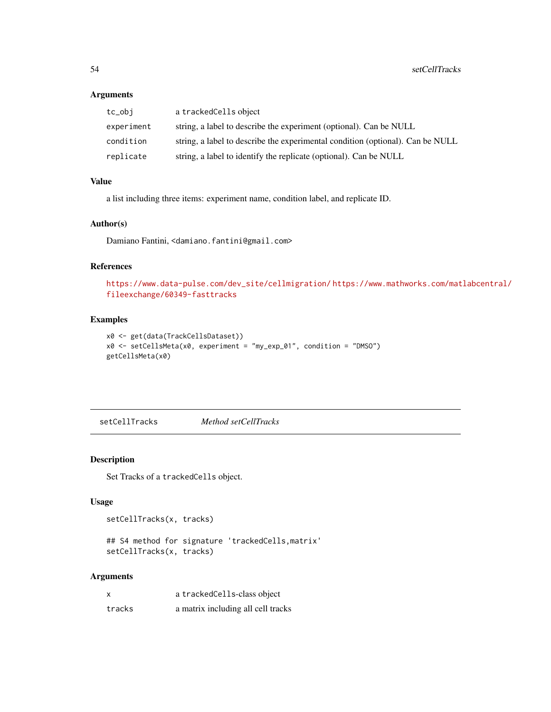### <span id="page-53-0"></span>Arguments

| tc_obi     | a trackedCells object                                                          |
|------------|--------------------------------------------------------------------------------|
| experiment | string, a label to describe the experiment (optional). Can be NULL             |
| condition  | string, a label to describe the experimental condition (optional). Can be NULL |
| replicate  | string, a label to identify the replicate (optional). Can be NULL              |

### Value

a list including three items: experiment name, condition label, and replicate ID.

#### Author(s)

Damiano Fantini, <damiano.fantini@gmail.com>

#### References

```
https://www.data-pulse.com/dev_site/cellmigration/ https://www.mathworks.com/matlabcentral/
fileexchange/60349-fasttracks
```
### Examples

```
x0 <- get(data(TrackCellsDataset))
x0 <- setCellsMeta(x0, experiment = "my_exp_01", condition = "DMSO")
getCellsMeta(x0)
```
setCellTracks *Method setCellTracks*

### Description

Set Tracks of a trackedCells object.

### Usage

setCellTracks(x, tracks)

```
## S4 method for signature 'trackedCells,matrix'
setCellTracks(x, tracks)
```
#### Arguments

| $\boldsymbol{\mathsf{x}}$ | a tracked Cells-class object       |
|---------------------------|------------------------------------|
| tracks                    | a matrix including all cell tracks |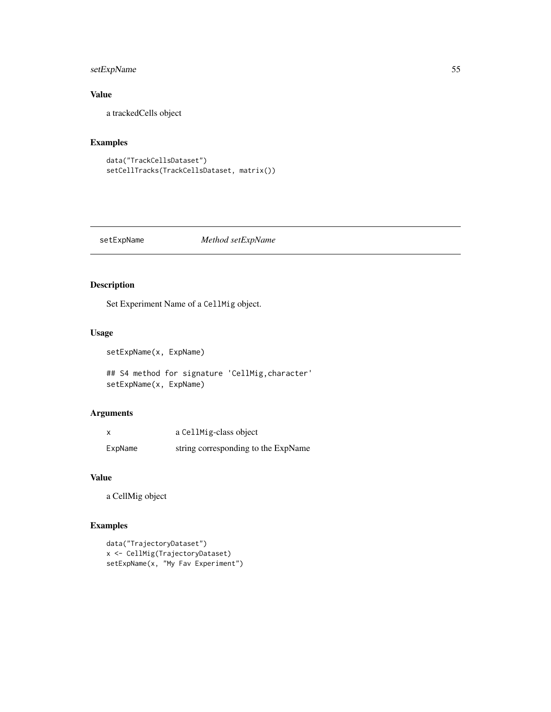### <span id="page-54-0"></span>setExpName 55

### Value

a trackedCells object

### Examples

```
data("TrackCellsDataset")
setCellTracks(TrackCellsDataset, matrix())
```
#### setExpName *Method setExpName*

### Description

Set Experiment Name of a CellMig object.

### Usage

setExpName(x, ExpName)

## S4 method for signature 'CellMig,character' setExpName(x, ExpName)

### Arguments

|         | a CellMig-class object              |
|---------|-------------------------------------|
| ExpName | string corresponding to the ExpName |

#### Value

a CellMig object

```
data("TrajectoryDataset")
x <- CellMig(TrajectoryDataset)
setExpName(x, "My Fav Experiment")
```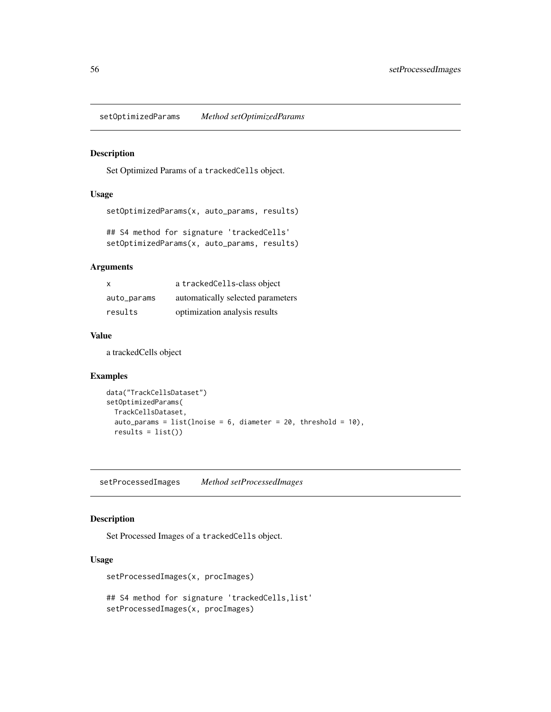<span id="page-55-0"></span>setOptimizedParams *Method setOptimizedParams*

### Description

Set Optimized Params of a trackedCells object.

#### Usage

```
setOptimizedParams(x, auto_params, results)
```

```
## S4 method for signature 'trackedCells'
setOptimizedParams(x, auto_params, results)
```
### Arguments

| $\mathsf{x}$ | a trackedCells-class object       |
|--------------|-----------------------------------|
| auto_params  | automatically selected parameters |
| results      | optimization analysis results     |

#### Value

a trackedCells object

### Examples

```
data("TrackCellsDataset")
setOptimizedParams(
  TrackCellsDataset,
  auto_params = list(lnoise = 6, diameter = 20, threshold = 10),
  results = list()
```
setProcessedImages *Method setProcessedImages*

### Description

Set Processed Images of a trackedCells object.

### Usage

setProcessedImages(x, procImages)

## S4 method for signature 'trackedCells,list' setProcessedImages(x, procImages)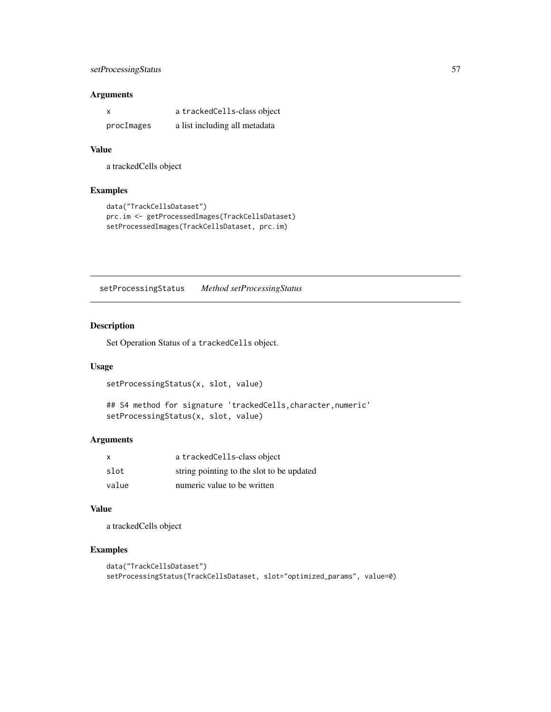### <span id="page-56-0"></span>setProcessingStatus 57

### Arguments

| x          | a tracked Cells-class object  |
|------------|-------------------------------|
| procImages | a list including all metadata |

#### Value

a trackedCells object

### Examples

```
data("TrackCellsDataset")
prc.im <- getProcessedImages(TrackCellsDataset)
setProcessedImages(TrackCellsDataset, prc.im)
```
setProcessingStatus *Method setProcessingStatus*

### Description

Set Operation Status of a trackedCells object.

### Usage

```
setProcessingStatus(x, slot, value)
```
## S4 method for signature 'trackedCells,character,numeric' setProcessingStatus(x, slot, value)

### Arguments

| X     | a trackedCells-class object               |
|-------|-------------------------------------------|
| slot  | string pointing to the slot to be updated |
| value | numeric value to be written               |

### Value

a trackedCells object

```
data("TrackCellsDataset")
setProcessingStatus(TrackCellsDataset, slot="optimized_params", value=0)
```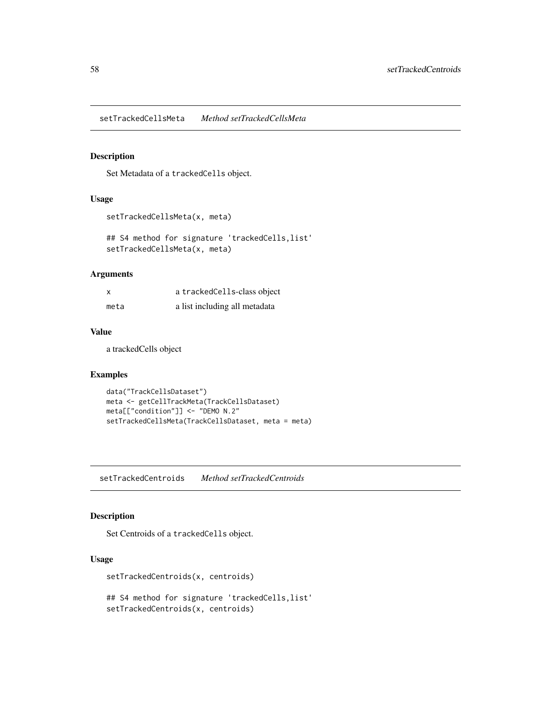<span id="page-57-0"></span>setTrackedCellsMeta *Method setTrackedCellsMeta*

#### Description

Set Metadata of a trackedCells object.

#### Usage

```
setTrackedCellsMeta(x, meta)
```
## S4 method for signature 'trackedCells,list' setTrackedCellsMeta(x, meta)

### Arguments

| x    | a tracked Cells-class object  |
|------|-------------------------------|
| meta | a list including all metadata |

### Value

a trackedCells object

#### Examples

```
data("TrackCellsDataset")
meta <- getCellTrackMeta(TrackCellsDataset)
meta[["condition"]] <- "DEMO N.2"
setTrackedCellsMeta(TrackCellsDataset, meta = meta)
```
setTrackedCentroids *Method setTrackedCentroids*

#### Description

Set Centroids of a trackedCells object.

### Usage

setTrackedCentroids(x, centroids)

## S4 method for signature 'trackedCells,list' setTrackedCentroids(x, centroids)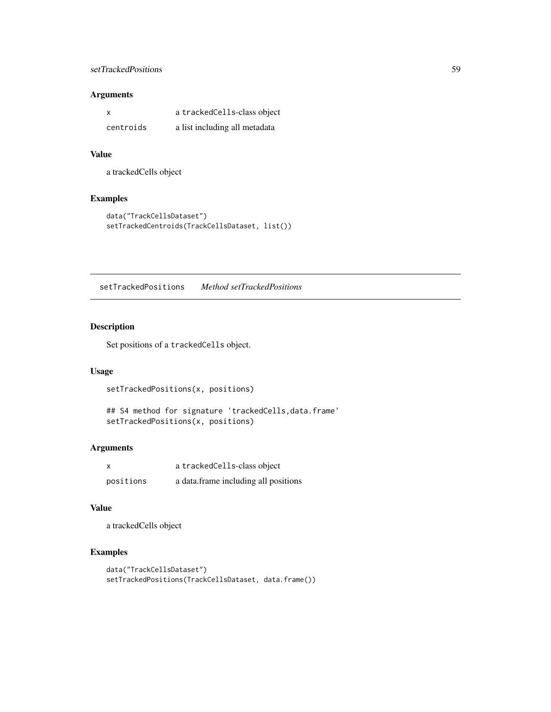### <span id="page-58-0"></span>setTrackedPositions 59

### Arguments

| X         | a tracked Cells-class object  |
|-----------|-------------------------------|
| centroids | a list including all metadata |

### Value

a trackedCells object

### Examples

```
data("TrackCellsDataset")
setTrackedCentroids(TrackCellsDataset, list())
```
setTrackedPositions *Method setTrackedPositions*

### Description

Set positions of a trackedCells object.

#### Usage

setTrackedPositions(x, positions)

## S4 method for signature 'trackedCells,data.frame' setTrackedPositions(x, positions)

#### Arguments

| x         | a tracked Cells-class object         |
|-----------|--------------------------------------|
| positions | a data.frame including all positions |

#### Value

a trackedCells object

```
data("TrackCellsDataset")
setTrackedPositions(TrackCellsDataset, data.frame())
```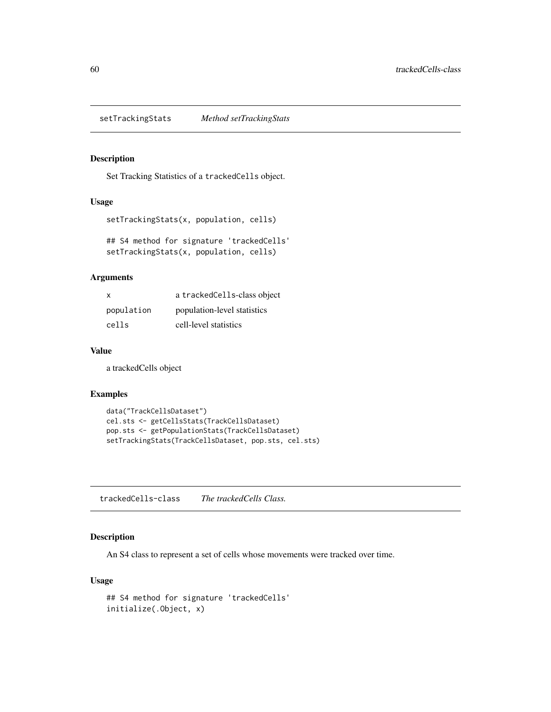<span id="page-59-0"></span>setTrackingStats *Method setTrackingStats*

### Description

Set Tracking Statistics of a trackedCells object.

### Usage

```
setTrackingStats(x, population, cells)
```

```
## S4 method for signature 'trackedCells'
setTrackingStats(x, population, cells)
```
### Arguments

| $\mathsf{x}$ | a trackedCells-class object |
|--------------|-----------------------------|
| population   | population-level statistics |
| cells        | cell-level statistics       |

### Value

a trackedCells object

#### Examples

```
data("TrackCellsDataset")
cel.sts <- getCellsStats(TrackCellsDataset)
pop.sts <- getPopulationStats(TrackCellsDataset)
setTrackingStats(TrackCellsDataset, pop.sts, cel.sts)
```
trackedCells-class *The trackedCells Class.*

### Description

An S4 class to represent a set of cells whose movements were tracked over time.

```
## S4 method for signature 'trackedCells'
initialize(.Object, x)
```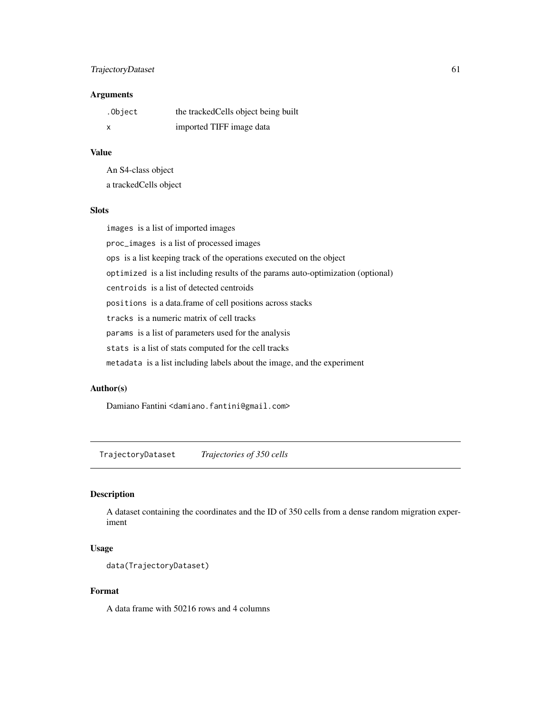### <span id="page-60-0"></span>TrajectoryDataset 61

### Arguments

| .Object | the tracked Cells object being built |
|---------|--------------------------------------|
| x       | imported TIFF image data             |

### Value

An S4-class object a trackedCells object

#### Slots

images is a list of imported images

proc\_images is a list of processed images

ops is a list keeping track of the operations executed on the object

optimized is a list including results of the params auto-optimization (optional)

centroids is a list of detected centroids

positions is a data.frame of cell positions across stacks

tracks is a numeric matrix of cell tracks

params is a list of parameters used for the analysis

stats is a list of stats computed for the cell tracks

metadata is a list including labels about the image, and the experiment

#### Author(s)

Damiano Fantini <damiano.fantini@gmail.com>

TrajectoryDataset *Trajectories of 350 cells*

### Description

A dataset containing the coordinates and the ID of 350 cells from a dense random migration experiment

### Usage

```
data(TrajectoryDataset)
```
### Format

A data frame with 50216 rows and 4 columns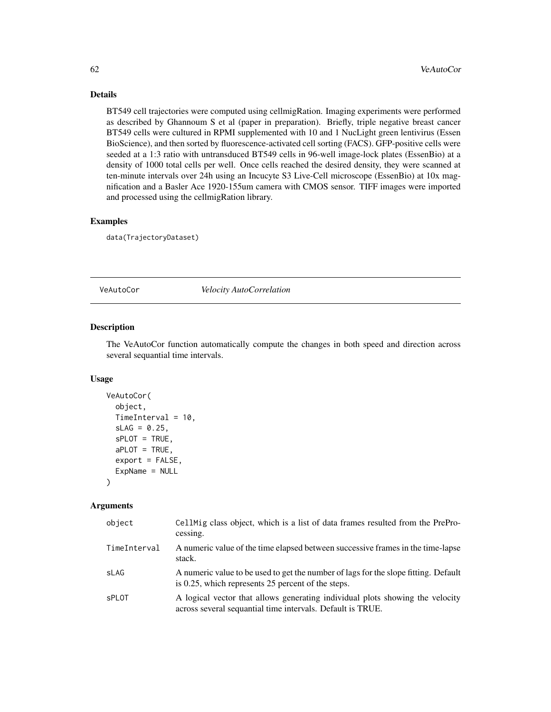### Details

BT549 cell trajectories were computed using cellmigRation. Imaging experiments were performed as described by Ghannoum S et al (paper in preparation). Briefly, triple negative breast cancer BT549 cells were cultured in RPMI supplemented with 10 and 1 NucLight green lentivirus (Essen BioScience), and then sorted by fluorescence-activated cell sorting (FACS). GFP-positive cells were seeded at a 1:3 ratio with untransduced BT549 cells in 96-well image-lock plates (EssenBio) at a density of 1000 total cells per well. Once cells reached the desired density, they were scanned at ten-minute intervals over 24h using an Incucyte S3 Live-Cell microscope (EssenBio) at 10x magnification and a Basler Ace 1920-155um camera with CMOS sensor. TIFF images were imported and processed using the cellmigRation library.

#### Examples

data(TrajectoryDataset)

VeAutoCor *Velocity AutoCorrelation*

#### **Description**

The VeAutoCor function automatically compute the changes in both speed and direction across several sequantial time intervals.

#### Usage

```
VeAutoCor(
  object,
 TimeInterval = 10,
  SLAG = 0.25,
  sPLOT = TRUE,
  aPLOT = TRUE,
  export = FALSE,ExpName = NULL
)
```
#### Arguments

| object       | Cell Mig class object, which is a list of data frames resulted from the PrePro-<br>cessing.                                                 |
|--------------|---------------------------------------------------------------------------------------------------------------------------------------------|
| TimeInterval | A numeric value of the time elapsed between successive frames in the time-lapse<br>stack.                                                   |
| sLAG         | A numeric value to be used to get the number of lags for the slope fitting. Default<br>is 0.25, which represents 25 percent of the steps.   |
| <b>sPLOT</b> | A logical vector that allows generating individual plots showing the velocity<br>across several sequantial time intervals. Default is TRUE. |

<span id="page-61-0"></span>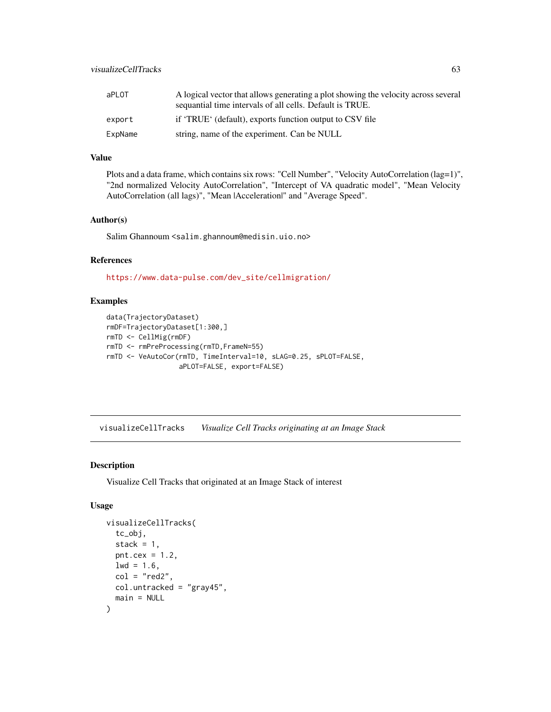<span id="page-62-0"></span>

| aPLOT   | A logical vector that allows generating a plot showing the velocity across several<br>sequantial time intervals of all cells. Default is TRUE. |
|---------|------------------------------------------------------------------------------------------------------------------------------------------------|
| export  | if 'TRUE' (default), exports function output to CSV file                                                                                       |
| ExpName | string, name of the experiment. Can be NULL                                                                                                    |

### Value

Plots and a data frame, which contains six rows: "Cell Number", "Velocity AutoCorrelation (lag=1)", "2nd normalized Velocity AutoCorrelation", "Intercept of VA quadratic model", "Mean Velocity AutoCorrelation (all lags)", "Mean |Acceleration|" and "Average Speed".

### Author(s)

Salim Ghannoum <salim.ghannoum@medisin.uio.no>

### References

[https://www.data-pulse.com/dev\\_site/cellmigration/](https://www.data-pulse.com/dev_site/cellmigration/)

### Examples

```
data(TrajectoryDataset)
rmDF=TrajectoryDataset[1:300,]
rmTD <- CellMig(rmDF)
rmTD <- rmPreProcessing(rmTD,FrameN=55)
rmTD <- VeAutoCor(rmTD, TimeInterval=10, sLAG=0.25, sPLOT=FALSE,
                  aPLOT=FALSE, export=FALSE)
```
visualizeCellTracks *Visualize Cell Tracks originating at an Image Stack*

### Description

Visualize Cell Tracks that originated at an Image Stack of interest

```
visualizeCellTracks(
  tc_obj,
  stack = 1,
  pnt.cex = 1.2,
  1wd = 1.6,
  col = "red2",col.untracked = "gray45",
  main = NULL
)
```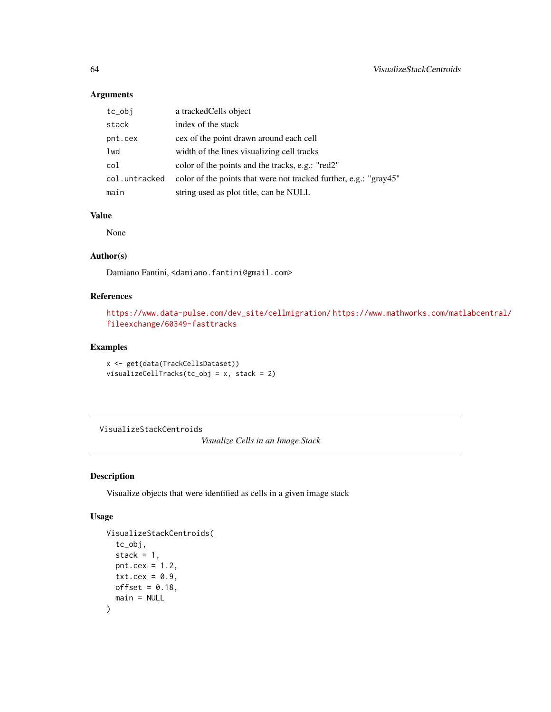### Arguments

| tc_obj        | a tracked Cells object                                            |
|---------------|-------------------------------------------------------------------|
| stack         | index of the stack                                                |
| pnt.cex       | cex of the point drawn around each cell                           |
| lwd           | width of the lines visualizing cell tracks                        |
| col           | color of the points and the tracks, e.g.: "red2"                  |
| col.untracked | color of the points that were not tracked further, e.g.: "gray45" |
| main          | string used as plot title, can be NULL                            |

### Value

None

#### Author(s)

Damiano Fantini, <damiano.fantini@gmail.com>

### References

```
https://www.data-pulse.com/dev_site/cellmigration/ https://www.mathworks.com/matlabcentral/
fileexchange/60349-fasttracks
```
### Examples

```
x <- get(data(TrackCellsDataset))
visualizeCellTracks(tc_obj = x, stack = 2)
```
VisualizeStackCentroids

*Visualize Cells in an Image Stack*

### Description

Visualize objects that were identified as cells in a given image stack

```
VisualizeStackCentroids(
  tc_obj,
  stack = 1,
 pnt.cex = 1.2,
 txt.cex = 0.9,
 offset = 0.18,
  main = NULL
)
```
<span id="page-63-0"></span>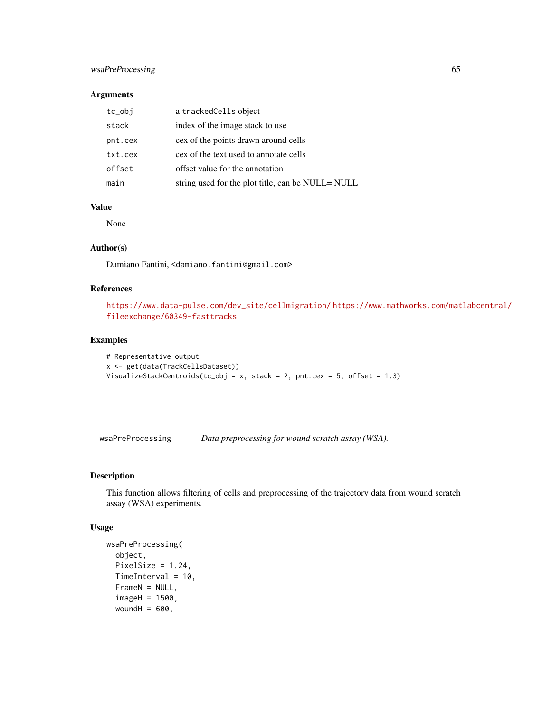### <span id="page-64-0"></span>wsaPreProcessing 65

#### Arguments

| tc_obj  | a trackedCells object                             |
|---------|---------------------------------------------------|
| stack   | index of the image stack to use                   |
| pnt.cex | cex of the points drawn around cells              |
| txt.cex | cex of the text used to annotate cells            |
| offset  | offset value for the annotation                   |
| main    | string used for the plot title, can be NULL= NULL |

### Value

None

### Author(s)

Damiano Fantini, <damiano.fantini@gmail.com>

### References

```
https://www.data-pulse.com/dev_site/cellmigration/ https://www.mathworks.com/matlabcentral/
fileexchange/60349-fasttracks
```
### Examples

```
# Representative output
x <- get(data(TrackCellsDataset))
VisualizeStackCentroids(tc_obj = x, stack = 2, pnt.cex = 5, offset = 1.3)
```
wsaPreProcessing *Data preprocessing for wound scratch assay (WSA).*

### Description

This function allows filtering of cells and preprocessing of the trajectory data from wound scratch assay (WSA) experiments.

```
wsaPreProcessing(
  object,
 PixelSize = 1.24,
  TimeInterval = 10,
  FrameN = NULL,
  imageH = 1500,
  woundH = 600,
```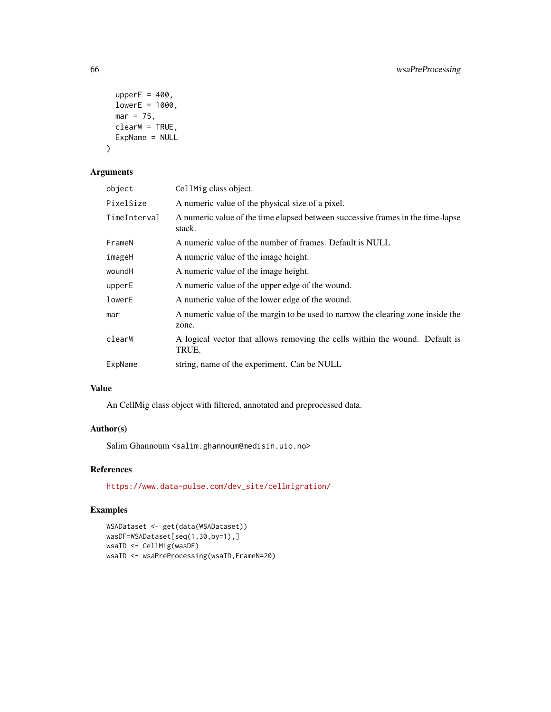```
upperE = 400,
  lowerE = 1000,mar = 75,
 clearW = TRUE,
 ExpName = NULL
\mathcal{L}
```
### Arguments

| CellMig class object.                                                                     |
|-------------------------------------------------------------------------------------------|
| A numeric value of the physical size of a pixel.                                          |
| A numeric value of the time elapsed between successive frames in the time-lapse<br>stack. |
| A numeric value of the number of frames. Default is NULL                                  |
| A numeric value of the image height.                                                      |
| A numeric value of the image height.                                                      |
| A numeric value of the upper edge of the wound.                                           |
| A numeric value of the lower edge of the wound.                                           |
| A numeric value of the margin to be used to narrow the clearing zone inside the<br>zone.  |
| A logical vector that allows removing the cells within the wound. Default is<br>TRUE.     |
| string, name of the experiment. Can be NULL                                               |
|                                                                                           |

## Value

An CellMig class object with filtered, annotated and preprocessed data.

### Author(s)

Salim Ghannoum <salim.ghannoum@medisin.uio.no>

### References

[https://www.data-pulse.com/dev\\_site/cellmigration/](https://www.data-pulse.com/dev_site/cellmigration/)

```
WSADataset <- get(data(WSADataset))
wasDF=WSADataset[seq(1,30,by=1),]
wsaTD <- CellMig(wasDF)
wsaTD <- wsaPreProcessing(wsaTD,FrameN=20)
```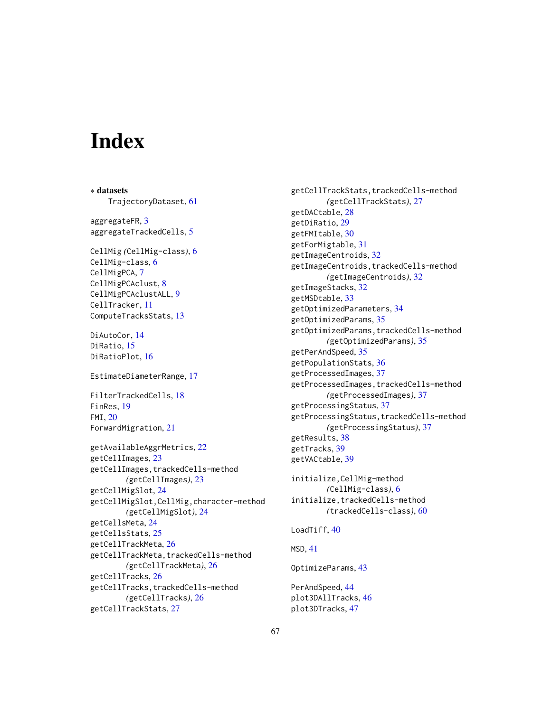# <span id="page-66-0"></span>**Index**

∗ datasets TrajectoryDataset, [61](#page-60-0) aggregateFR, [3](#page-2-0) aggregateTrackedCells, [5](#page-4-0) CellMig *(*CellMig-class*)*, [6](#page-5-0) CellMig-class, [6](#page-5-0) CellMigPCA, [7](#page-6-0) CellMigPCAclust, [8](#page-7-0) CellMigPCAclustALL, [9](#page-8-0) CellTracker, [11](#page-10-0) ComputeTracksStats, [13](#page-12-0) DiAutoCor, [14](#page-13-0)

DiRatio, [15](#page-14-0) DiRatioPlot, [16](#page-15-0)

EstimateDiameterRange, [17](#page-16-0)

FilterTrackedCells, [18](#page-17-0) FinRes, [19](#page-18-0) FMI, [20](#page-19-0) ForwardMigration, [21](#page-20-0)

```
getAvailableAggrMetrics, 22
getCellImages, 23
getCellImages,trackedCells-method
        (getCellImages), 23
getCellMigSlot, 24
getCellMigSlot,CellMig,character-method
        (getCellMigSlot), 24
getCellsMeta, 24
getCellsStats, 25
getCellTrackMeta, 26
getCellTrackMeta,trackedCells-method
        (getCellTrackMeta), 26
getCellTracks, 26
getCellTracks,trackedCells-method
        (getCellTracks), 26
getCellTrackStats, 27
```
getCellTrackStats,trackedCells-method *(*getCellTrackStats*)*, [27](#page-26-0) getDACtable, [28](#page-27-0) getDiRatio, [29](#page-28-0) getFMItable, [30](#page-29-0) getForMigtable, [31](#page-30-0) getImageCentroids, [32](#page-31-0) getImageCentroids,trackedCells-method *(*getImageCentroids*)*, [32](#page-31-0) getImageStacks, [32](#page-31-0) getMSDtable, [33](#page-32-0) getOptimizedParameters, [34](#page-33-0) getOptimizedParams, [35](#page-34-0) getOptimizedParams,trackedCells-method *(*getOptimizedParams*)*, [35](#page-34-0) getPerAndSpeed, [35](#page-34-0) getPopulationStats, [36](#page-35-0) getProcessedImages, [37](#page-36-0) getProcessedImages,trackedCells-method *(*getProcessedImages*)*, [37](#page-36-0) getProcessingStatus, [37](#page-36-0) getProcessingStatus,trackedCells-method *(*getProcessingStatus*)*, [37](#page-36-0) getResults, [38](#page-37-0) getTracks, [39](#page-38-0) getVACtable, [39](#page-38-0)

initialize,CellMig-method *(*CellMig-class*)*, [6](#page-5-0) initialize, trackedCells-method *(*trackedCells-class*)*, [60](#page-59-0)

### LoadTiff, [40](#page-39-0)

MSD, [41](#page-40-0)

OptimizeParams, [43](#page-42-0)

PerAndSpeed, [44](#page-43-0) plot3DAllTracks, [46](#page-45-0) plot3DTracks, [47](#page-46-0)